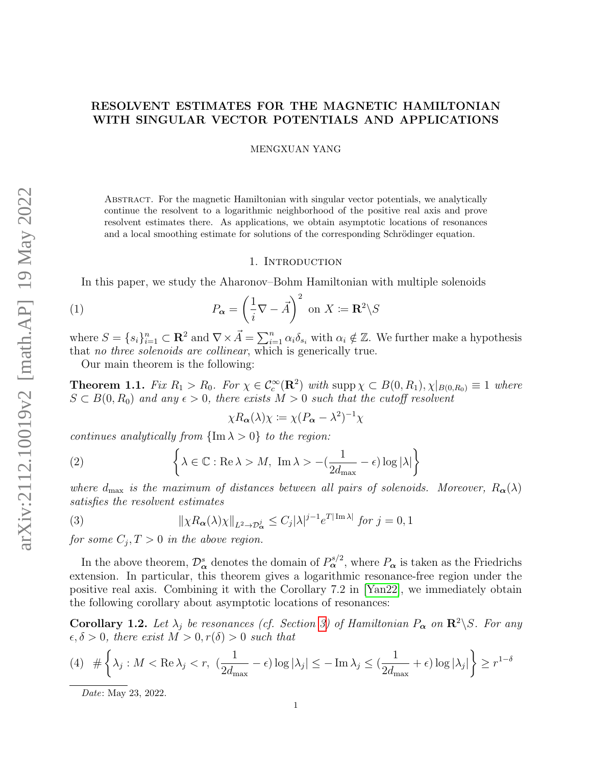# RESOLVENT ESTIMATES FOR THE MAGNETIC HAMILTONIAN WITH SINGULAR VECTOR POTENTIALS AND APPLICATIONS

MENGXUAN YANG

Abstract. For the magnetic Hamiltonian with singular vector potentials, we analytically continue the resolvent to a logarithmic neighborhood of the positive real axis and prove resolvent estimates there. As applications, we obtain asymptotic locations of resonances and a local smoothing estimate for solutions of the corresponding Schrödinger equation.

## 1. INTRODUCTION

In this paper, we study the Aharonov–Bohm Hamiltonian with multiple solenoids

(1) 
$$
P_{\alpha} = \left(\frac{1}{i}\nabla - \vec{A}\right)^2 \text{ on } X \coloneqq \mathbf{R}^2 \backslash S
$$

where  $S = \{s_i\}_{i=1}^n \subset \mathbf{R}^2$  and  $\nabla \times \vec{A} = \sum_{i=1}^n \alpha_i \delta_{s_i}$  with  $\alpha_i \notin \mathbb{Z}$ . We further make a hypothesis that no three solenoids are collinear, which is generically true.

Our main theorem is the following:

<span id="page-0-0"></span>**Theorem 1.1.** Fix  $R_1 > R_0$ . For  $\chi \in C_c^{\infty}(\mathbf{R}^2)$  with  $\text{supp }\chi \subset B(0, R_1), \chi|_{B(0, R_0)} \equiv 1$  where  $S \subset B(0, R_0)$  and any  $\epsilon > 0$ , there exists  $M > 0$  such that the cutoff resolvent

$$
\chi R_{\alpha}(\lambda)\chi \coloneqq \chi (P_{\alpha} - \lambda^2)^{-1} \chi
$$

continues analytically from  $\{\text{Im }\lambda > 0\}$  to the region:

(2) 
$$
\left\{\lambda \in \mathbb{C} : \text{Re }\lambda > M, \text{ Im }\lambda > -(\frac{1}{2d_{\text{max}}} - \epsilon) \log |\lambda| \right\}
$$

where  $d_{\text{max}}$  is the maximum of distances between all pairs of solenoids. Moreover,  $R_{\alpha}(\lambda)$ satisfies the resolvent estimates

(3) 
$$
\|\chi R_{\alpha}(\lambda)\chi\|_{L^2 \to \mathcal{D}_{\alpha}^j} \leq C_j |\lambda|^{j-1} e^{T|\operatorname{Im} \lambda|} \text{ for } j = 0, 1
$$

for some  $C_j, T > 0$  in the above region.

In the above theorem,  $\mathcal{D}_{\alpha}^{s}$  denotes the domain of  $P_{\alpha}^{s/2}$ , where  $P_{\alpha}$  is taken as the Friedrichs extension. In particular, this theorem gives a logarithmic resonance-free region under the positive real axis. Combining it with the Corollary 7.2 in [\[Yan22\]](#page-20-0), we immediately obtain the following corollary about asymptotic locations of resonances:

<span id="page-0-1"></span>**Corollary 1.2.** Let  $\lambda_i$  be resonances (cf. Section [3\)](#page-5-0) of Hamiltonian  $P_{\alpha}$  on  $\mathbb{R}^2 \backslash S$ . For any  $\epsilon, \delta > 0$ , there exist  $M > 0, r(\delta) > 0$  such that

$$
(4) \# \left\{ \lambda_j : M < \text{Re}\,\lambda_j < r, \ \left( \frac{1}{2d_{\text{max}}} - \epsilon \right) \log |\lambda_j| \leq -\operatorname{Im}\lambda_j \leq \left( \frac{1}{2d_{\text{max}}} + \epsilon \right) \log |\lambda_j| \right\} \geq r^{1-\delta}
$$

Date: May 23, 2022.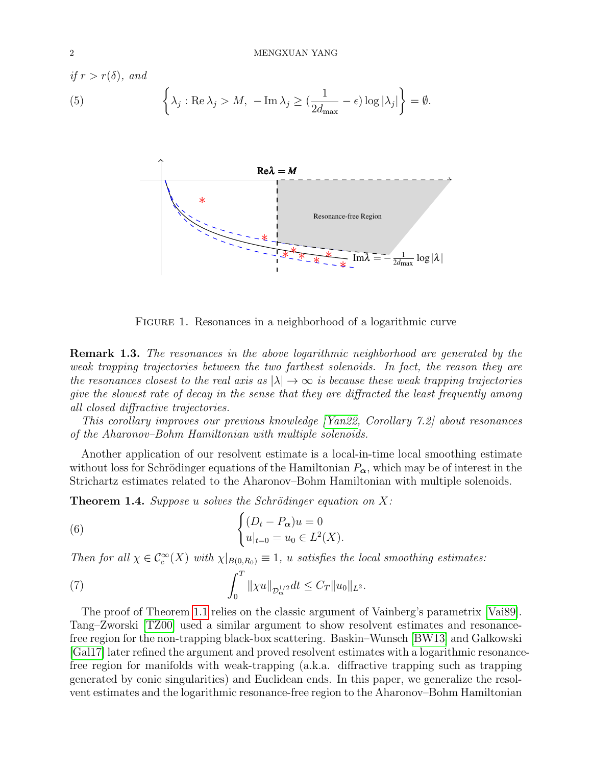$$
\begin{aligned} \text{if } r > r(\delta), \text{ and} \\ \text{(5)} & \left\{ \lambda_j : \text{Re}\,\lambda_j > M, \ -\text{Im}\,\lambda_j \ge \left( \frac{1}{2d_{\text{max}}} - \epsilon \right) \log |\lambda_j| \right\} = \emptyset. \end{aligned}
$$



FIGURE 1. Resonances in a neighborhood of a logarithmic curve

Remark 1.3. The resonances in the above logarithmic neighborhood are generated by the weak trapping trajectories between the two farthest solenoids. In fact, the reason they are the resonances closest to the real axis as  $|\lambda| \to \infty$  is because these weak trapping trajectories give the slowest rate of decay in the sense that they are diffracted the least frequently among all closed diffractive trajectories.

This corollary improves our previous knowledge [\[Yan22,](#page-20-0) Corollary 7.2] about resonances of the Aharonov–Bohm Hamiltonian with multiple solenoids.

Another application of our resolvent estimate is a local-in-time local smoothing estimate without loss for Schrödinger equations of the Hamiltonian  $P_{\alpha}$ , which may be of interest in the Strichartz estimates related to the Aharonov–Bohm Hamiltonian with multiple solenoids.

**Theorem 1.4.** Suppose u solves the Schrödinger equation on  $X$ :

(6) 
$$
\begin{cases} (D_t - P_{\alpha})u = 0 \\ u|_{t=0} = u_0 \in L^2(X). \end{cases}
$$

Then for all  $\chi \in C_c^{\infty}(X)$  with  $\chi|_{B(0,R_0)} \equiv 1$ , u satisfies the local smoothing estimates:

(7) 
$$
\int_0^T \| \chi u \|_{\mathcal{D}_{\boldsymbol{\alpha}}^{1/2}} dt \leq C_T \| u_0 \|_{L^2}.
$$

The proof of Theorem [1.1](#page-0-0) relies on the classic argument of Vainberg's parametrix [\[Vai89\]](#page-20-1). Tang–Zworski [\[TZ00\]](#page-20-2) used a similar argument to show resolvent estimates and resonancefree region for the non-trapping black-box scattering. Baskin–Wunsch [\[BW13\]](#page-19-0) and Galkowski [\[Gal17\]](#page-19-1) later refined the argument and proved resolvent estimates with a logarithmic resonancefree region for manifolds with weak-trapping (a.k.a. diffractive trapping such as trapping generated by conic singularities) and Euclidean ends. In this paper, we generalize the resolvent estimates and the logarithmic resonance-free region to the Aharonov–Bohm Hamiltonian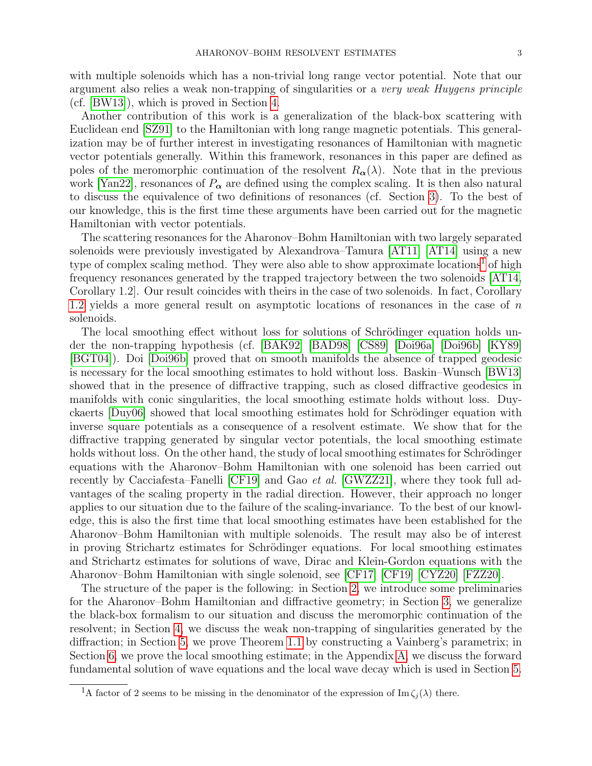with multiple solenoids which has a non-trivial long range vector potential. Note that our argument also relies a weak non-trapping of singularities or a very weak Huygens principle (cf. [\[BW13\]](#page-19-0)), which is proved in Section [4.](#page-9-0)

Another contribution of this work is a generalization of the black-box scattering with Euclidean end [\[SZ91\]](#page-20-3) to the Hamiltonian with long range magnetic potentials. This generalization may be of further interest in investigating resonances of Hamiltonian with magnetic vector potentials generally. Within this framework, resonances in this paper are defined as poles of the meromorphic continuation of the resolvent  $R_{\alpha}(\lambda)$ . Note that in the previous work [\[Yan22\]](#page-20-0), resonances of  $P_{\alpha}$  are defined using the complex scaling. It is then also natural to discuss the equivalence of two definitions of resonances (cf. Section [3\)](#page-5-0). To the best of our knowledge, this is the first time these arguments have been carried out for the magnetic Hamiltonian with vector potentials.

The scattering resonances for the Aharonov–Bohm Hamiltonian with two largely separated solenoids were previously investigated by Alexandrova–Tamura [\[AT11\]](#page-18-0) [\[AT14\]](#page-19-2) using a new type of complex scaling method. They were also able to show approximate locations<sup>[1](#page-2-0)</sup> of high frequency resonances generated by the trapped trajectory between the two solenoids [\[AT14,](#page-19-2) Corollary 1.2]. Our result coincides with theirs in the case of two solenoids. In fact, Corollary [1.2](#page-0-1) yields a more general result on asymptotic locations of resonances in the case of  $n$ solenoids.

The local smoothing effect without loss for solutions of Schrödinger equation holds under the non-trapping hypothesis (cf. [\[BAK92\]](#page-19-3) [\[BAD98\]](#page-19-4) [\[CS89\]](#page-19-5) [\[Doi96a\]](#page-19-6) [\[Doi96b\]](#page-19-7) [\[KY89\]](#page-19-8) [\[BGT04\]](#page-19-9)). Doi [\[Doi96b\]](#page-19-7) proved that on smooth manifolds the absence of trapped geodesic is necessary for the local smoothing estimates to hold without loss. Baskin–Wunsch [\[BW13\]](#page-19-0) showed that in the presence of diffractive trapping, such as closed diffractive geodesics in manifolds with conic singularities, the local smoothing estimate holds without loss. Duy-ckaerts [\[Duy06\]](#page-19-10) showed that local smoothing estimates hold for Schrödinger equation with inverse square potentials as a consequence of a resolvent estimate. We show that for the diffractive trapping generated by singular vector potentials, the local smoothing estimate holds without loss. On the other hand, the study of local smoothing estimates for Schrödinger equations with the Aharonov–Bohm Hamiltonian with one solenoid has been carried out recently by Cacciafesta–Fanelli [\[CF19\]](#page-19-11) and Gao et al. [\[GWZZ21\]](#page-19-12), where they took full advantages of the scaling property in the radial direction. However, their approach no longer applies to our situation due to the failure of the scaling-invariance. To the best of our knowledge, this is also the first time that local smoothing estimates have been established for the Aharonov–Bohm Hamiltonian with multiple solenoids. The result may also be of interest in proving Strichartz estimates for Schrödinger equations. For local smoothing estimates and Strichartz estimates for solutions of wave, Dirac and Klein-Gordon equations with the Aharonov–Bohm Hamiltonian with single solenoid, see [\[CF17\]](#page-19-13) [\[CF19\]](#page-19-11) [\[CYZ20\]](#page-19-14) [\[FZZ20\]](#page-19-15).

The structure of the paper is the following: in Section [2,](#page-3-0) we introduce some preliminaries for the Aharonov–Bohm Hamiltonian and diffractive geometry; in Section [3,](#page-5-0) we generalize the black-box formalism to our situation and discuss the meromorphic continuation of the resolvent; in Section [4,](#page-9-0) we discuss the weak non-trapping of singularities generated by the diffraction; in Section [5,](#page-11-0) we prove Theorem [1.1](#page-0-0) by constructing a Vainberg's parametrix; in Section [6,](#page-16-0) we prove the local smoothing estimate; in the Appendix [A,](#page-17-0) we discuss the forward fundamental solution of wave equations and the local wave decay which is used in Section [5.](#page-11-0)

<span id="page-2-0"></span><sup>&</sup>lt;sup>1</sup>A factor of 2 seems to be missing in the denominator of the expression of Im  $\zeta_i(\lambda)$  there.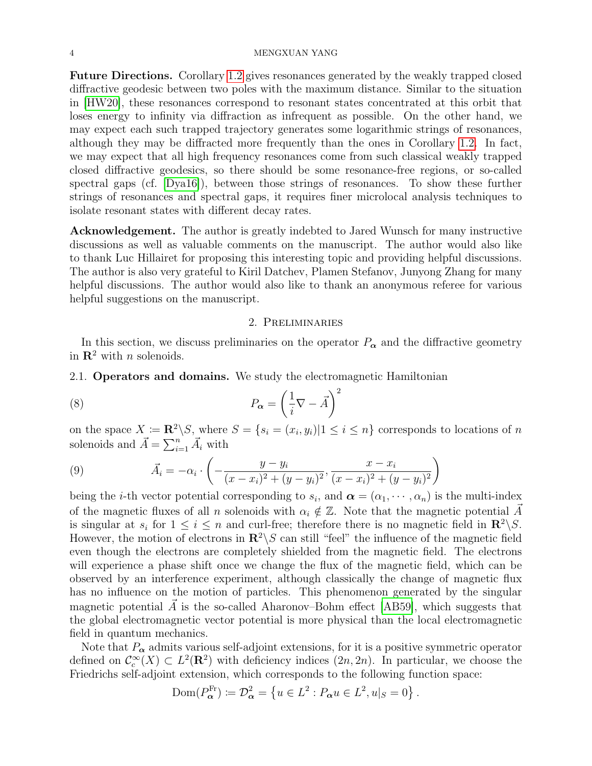#### 4 MENGXUAN YANG

Future Directions. Corollary [1.2](#page-0-1) gives resonances generated by the weakly trapped closed diffractive geodesic between two poles with the maximum distance. Similar to the situation in [\[HW20\]](#page-19-16), these resonances correspond to resonant states concentrated at this orbit that loses energy to infinity via diffraction as infrequent as possible. On the other hand, we may expect each such trapped trajectory generates some logarithmic strings of resonances, although they may be diffracted more frequently than the ones in Corollary [1.2.](#page-0-1) In fact, we may expect that all high frequency resonances come from such classical weakly trapped closed diffractive geodesics, so there should be some resonance-free regions, or so-called spectral gaps (cf. [\[Dya16\]](#page-19-17)), between those strings of resonances. To show these further strings of resonances and spectral gaps, it requires finer microlocal analysis techniques to isolate resonant states with different decay rates.

Acknowledgement. The author is greatly indebted to Jared Wunsch for many instructive discussions as well as valuable comments on the manuscript. The author would also like to thank Luc Hillairet for proposing this interesting topic and providing helpful discussions. The author is also very grateful to Kiril Datchev, Plamen Stefanov, Junyong Zhang for many helpful discussions. The author would also like to thank an anonymous referee for various helpful suggestions on the manuscript.

## 2. Preliminaries

<span id="page-3-0"></span>In this section, we discuss preliminaries on the operator  $P_{\alpha}$  and the diffractive geometry in  $\mathbb{R}^2$  with *n* solenoids.

2.1. Operators and domains. We study the electromagnetic Hamiltonian

(8) 
$$
P_{\alpha} = \left(\frac{1}{i}\nabla - \vec{A}\right)^2
$$

on the space  $X := \mathbb{R}^2 \setminus S$ , where  $S = \{s_i = (x_i, y_i) | 1 \le i \le n\}$  corresponds to locations of n solenoids and  $\vec{A} = \sum_{i=1}^{n} \vec{A}_i$  with

(9) 
$$
\vec{A}_i = -\alpha_i \cdot \left( -\frac{y - y_i}{(x - x_i)^2 + (y - y_i)^2}, \frac{x - x_i}{(x - x_i)^2 + (y - y_i)^2} \right)
$$

being the *i*-th vector potential corresponding to  $s_i$ , and  $\boldsymbol{\alpha} = (\alpha_1, \dots, \alpha_n)$  is the multi-index of the magnetic fluxes of all n solenoids with  $\alpha_i \notin \mathbb{Z}$ . Note that the magnetic potential  $\vec{A}$ is singular at  $s_i$  for  $1 \leq i \leq n$  and curl-free; therefore there is no magnetic field in  $\mathbb{R}^2 \backslash S$ . However, the motion of electrons in  $\mathbb{R}^2 \setminus S$  can still "feel" the influence of the magnetic field even though the electrons are completely shielded from the magnetic field. The electrons will experience a phase shift once we change the flux of the magnetic field, which can be observed by an interference experiment, although classically the change of magnetic flux has no influence on the motion of particles. This phenomenon generated by the singular magnetic potential  $\vec{A}$  is the so-called Aharonov–Bohm effect [\[AB59\]](#page-18-1), which suggests that the global electromagnetic vector potential is more physical than the local electromagnetic field in quantum mechanics.

Note that  $P_{\alpha}$  admits various self-adjoint extensions, for it is a positive symmetric operator defined on  $\mathcal{C}_c^{\infty}(X) \subset L^2(\mathbf{R}^2)$  with deficiency indices  $(2n, 2n)$ . In particular, we choose the Friedrichs self-adjoint extension, which corresponds to the following function space:

$$
Dom(P_{\alpha}^{Fr}) := \mathcal{D}_{\alpha}^{2} = \left\{ u \in L^{2} : P_{\alpha} u \in L^{2}, u|_{S} = 0 \right\}.
$$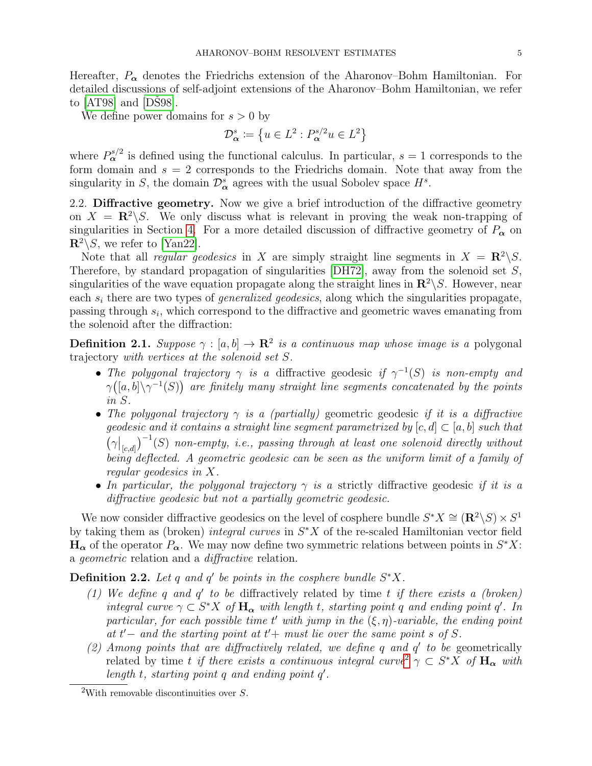Hereafter,  $P_{\alpha}$  denotes the Friedrichs extension of the Aharonov–Bohm Hamiltonian. For detailed discussions of self-adjoint extensions of the Aharonov–Bohm Hamiltonian, we refer to  $[AT98]$  and  $[DS98]$ .

We define power domains for  $s > 0$  by

$$
\mathcal{D}_{\alpha}^{s} \coloneqq \left\{ u \in L^2 : P_{\alpha}^{s/2} u \in L^2 \right\}
$$

where  $P_{\alpha}^{s/2}$  is defined using the functional calculus. In particular,  $s = 1$  corresponds to the form domain and  $s = 2$  corresponds to the Friedrichs domain. Note that away from the singularity in S, the domain  $\mathcal{D}_{\alpha}^{s}$  agrees with the usual Sobolev space  $H^{s}$ .

2.2. Diffractive geometry. Now we give a brief introduction of the diffractive geometry on  $X = \mathbb{R}^2 \backslash S$ . We only discuss what is relevant in proving the weak non-trapping of singularities in Section [4.](#page-9-0) For a more detailed discussion of diffractive geometry of  $P_{\alpha}$  on  $\mathbb{R}^2 \setminus S$ , we refer to [\[Yan22\]](#page-20-0).

Note that all *regular geodesics* in X are simply straight line segments in  $X = \mathbb{R}^2 \backslash S$ . Therefore, by standard propagation of singularities  $[DH72]$ , away from the solenoid set  $S$ , singularities of the wave equation propagate along the straight lines in  $\mathbb{R}^2 \setminus S$ . However, near each  $s_i$  there are two types of *generalized geodesics*, along which the singularities propagate, passing through  $s_i$ , which correspond to the diffractive and geometric waves emanating from the solenoid after the diffraction:

**Definition 2.1.** Suppose  $\gamma : [a, b] \to \mathbb{R}^2$  is a continuous map whose image is a polygonal trajectory with vertices at the solenoid set S.

- The polygonal trajectory  $\gamma$  is a diffractive geodesic if  $\gamma^{-1}(S)$  is non-empty and  $\gamma([a,b]\setminus\gamma^{-1}(S))$  are finitely many straight line segments concatenated by the points in S.
- The polygonal trajectory  $\gamma$  is a (partially) geometric geodesic if it is a diffractive geodesic and it contains a straight line segment parametrized by  $[c, d] \subset [a, b]$  such that  $(\gamma|_{[c,d]})^{-1}(S)$  non-empty, i.e., passing through at least one solenoid directly without being deflected. A geometric geodesic can be seen as the uniform limit of a family of regular geodesics in X.
- In particular, the polygonal trajectory  $\gamma$  is a strictly diffractive geodesic if it is a diffractive geodesic but not a partially geometric geodesic.

We now consider diffractive geodesics on the level of cosphere bundle  $S^*X \cong (\mathbf{R}^2 \setminus S) \times S^1$ by taking them as (broken) *integral curves* in  $S^*X$  of the re-scaled Hamiltonian vector field  $\mathbf{H}_{\alpha}$  of the operator  $P_{\alpha}$ . We may now define two symmetric relations between points in  $S^*X$ : a geometric relation and a diffractive relation.

**Definition 2.2.** Let q and q' be points in the cosphere bundle  $S^*X$ .

- (1) We define q and  $q'$  to be diffractively related by time t if there exists a (broken) integral curve  $\gamma \subset S^*X$  of  $\mathbf{H}_{\alpha}$  with length t, starting point q and ending point q'. In particular, for each possible time t' with jump in the  $(\xi, \eta)$ -variable, the ending point at  $t'-$  and the starting point at  $t'+$  must lie over the same point s of S.
- (2) Among points that are diffractively related, we define  $q$  and  $q'$  to be geometrically related by time t if there exists a continuous integral curve<sup>[2](#page-4-0)</sup>  $\gamma \subset S^*X$  of  $H_{\alpha}$  with length  $t$ , starting point  $q$  and ending point  $q'$ .

<span id="page-4-0"></span><sup>&</sup>lt;sup>2</sup>With removable discontinuities over  $S$ .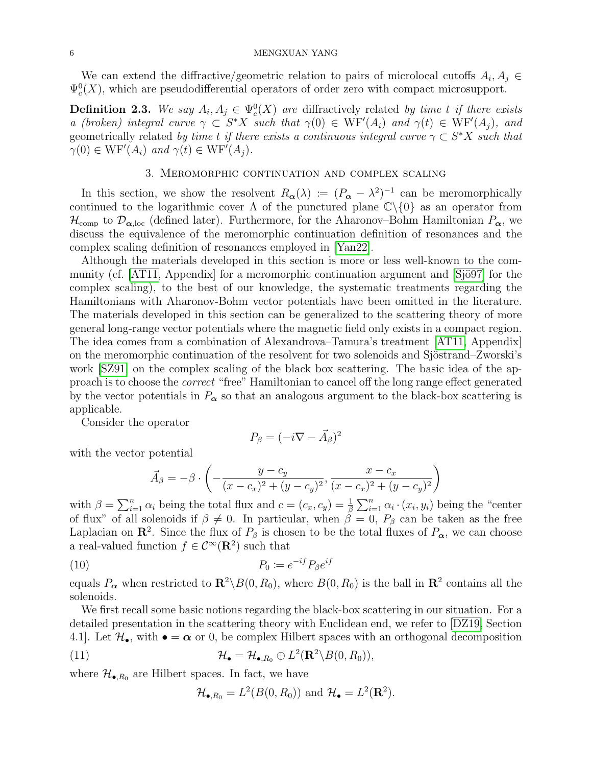### 6 MENGXUAN YANG

We can extend the diffractive/geometric relation to pairs of microlocal cutoffs  $A_i, A_j \in$  $\Psi_c^0(X)$ , which are pseudodifferential operators of order zero with compact microsupport.

**Definition 2.3.** We say  $A_i, A_j \in \Psi_c^0(X)$  are diffractively related by time t if there exists a (broken) integral curve  $\gamma \subset S^*X$  such that  $\gamma(0) \in \text{WF}'(A_i)$  and  $\gamma(t) \in \text{WF}'(A_j)$ , and geometrically related by time t if there exists a continuous integral curve  $\gamma \subset S^*X$  such that  $\gamma(0) \in \text{WF}'(A_i)$  and  $\gamma(t) \in \text{WF}'(A_j)$ .

#### 3. Meromorphic continuation and complex scaling

<span id="page-5-0"></span>In this section, we show the resolvent  $R_{\alpha}(\lambda) := (P_{\alpha} - \lambda^2)^{-1}$  can be meromorphically continued to the logarithmic cover  $\Lambda$  of the punctured plane  $\mathbb{C}\backslash\{0\}$  as an operator from  $\mathcal{H}_{\text{comp}}$  to  $\mathcal{D}_{\alpha,\text{loc}}$  (defined later). Furthermore, for the Aharonov–Bohm Hamiltonian  $P_{\alpha}$ , we discuss the equivalence of the meromorphic continuation definition of resonances and the complex scaling definition of resonances employed in [\[Yan22\]](#page-20-0).

Although the materials developed in this section is more or less well-known to the community (cf.  $[AT11,$  Appendix) for a meromorphic continuation argument and  $[Si\ddot{o}97]$  for the complex scaling), to the best of our knowledge, the systematic treatments regarding the Hamiltonians with Aharonov-Bohm vector potentials have been omitted in the literature. The materials developed in this section can be generalized to the scattering theory of more general long-range vector potentials where the magnetic field only exists in a compact region. The idea comes from a combination of Alexandrova–Tamura's treatment [\[AT11,](#page-18-0) Appendix] on the meromorphic continuation of the resolvent for two solenoids and Sjöstrand–Zworski's work [\[SZ91\]](#page-20-3) on the complex scaling of the black box scattering. The basic idea of the approach is to choose the correct "free" Hamiltonian to cancel off the long range effect generated by the vector potentials in  $P_{\alpha}$  so that an analogous argument to the black-box scattering is applicable.

Consider the operator

<span id="page-5-1"></span>
$$
P_{\beta} = (-i\nabla - \vec{A}_{\beta})^2
$$

with the vector potential

$$
\vec{A}_{\beta} = -\beta \cdot \left( -\frac{y - c_y}{(x - c_x)^2 + (y - c_y)^2}, \frac{x - c_x}{(x - c_x)^2 + (y - c_y)^2} \right)
$$

with  $\beta = \sum_{i=1}^n \alpha_i$  being the total flux and  $c = (c_x, c_y) = \frac{1}{\beta} \sum_{i=1}^n \alpha_i \cdot (x_i, y_i)$  being the "center of flux" of all solenoids if  $\beta \neq 0$ . In particular, when  $\beta = 0$ ,  $P_{\beta}$  can be taken as the free Laplacian on  $\mathbb{R}^2$ . Since the flux of  $P_\beta$  is chosen to be the total fluxes of  $P_\alpha$ , we can choose a real-valued function  $f \in C^{\infty}(\mathbf{R}^2)$  such that

$$
(10) \t\t P_0 := e^{-if} P_\beta e^{if}
$$

equals  $P_{\alpha}$  when restricted to  $\mathbb{R}^2 \setminus B(0, R_0)$ , where  $B(0, R_0)$  is the ball in  $\mathbb{R}^2$  contains all the solenoids.

We first recall some basic notions regarding the black-box scattering in our situation. For a detailed presentation in the scattering theory with Euclidean end, we refer to [\[DZ19,](#page-19-20) Section 4.1. Let  $\mathcal{H}_{\bullet}$ , with  $\bullet = \alpha$  or 0, be complex Hilbert spaces with an orthogonal decomposition

(11) 
$$
\mathcal{H}_{\bullet} = \mathcal{H}_{\bullet, R_0} \oplus L^2(\mathbf{R}^2 \setminus B(0, R_0)),
$$

where  $\mathcal{H}_{\bullet, R_0}$  are Hilbert spaces. In fact, we have

 $\mathcal{H}_{\bullet, R_0} = L^2(B(0, R_0))$  and  $\mathcal{H}_{\bullet} = L^2(\mathbf{R}^2)$ .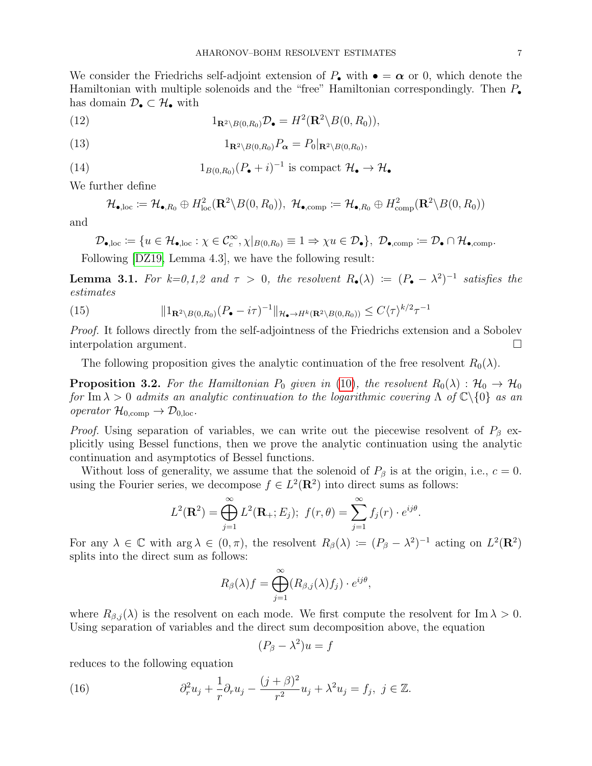We consider the Friedrichs self-adjoint extension of  $P_{\bullet}$  with  $\bullet = \alpha$  or 0, which denote the Hamiltonian with multiple solenoids and the "free" Hamiltonian correspondingly. Then  $P_{\bullet}$ has domain  $\mathcal{D}_{\bullet} \subset \mathcal{H}_{\bullet}$  with

(12) 
$$
1_{\mathbf{R}^2 \backslash B(0,R_0)} \mathcal{D}_\bullet = H^2(\mathbf{R}^2 \backslash B(0,R_0)),
$$

(13) 
$$
1_{\mathbf{R}^2 \setminus B(0,R_0)} P_{\alpha} = P_0|_{\mathbf{R}^2 \setminus B(0,R_0)},
$$

(14) 
$$
1_{B(0,R_0)}(P_{\bullet}+i)^{-1} \text{ is compact } \mathcal{H}_{\bullet} \to \mathcal{H}_{\bullet}
$$

We further define

$$
\mathcal{H}_{\bullet,\text{loc}} := \mathcal{H}_{\bullet,R_0} \oplus H_{\text{loc}}^2(\mathbf{R}^2 \backslash B(0,R_0)), \ \mathcal{H}_{\bullet,\text{comp}} := \mathcal{H}_{\bullet,R_0} \oplus H_{\text{comp}}^2(\mathbf{R}^2 \backslash B(0,R_0))
$$

and

$$
\mathcal{D}_{\bullet,\mathrm{loc}}\coloneqq\{u\in\mathcal{H}_{\bullet,\mathrm{loc}}:\chi\in\mathcal{C}_c^\infty,\chi|_{B(0,R_0)}\equiv1\Rightarrow\chi u\in\mathcal{D}_\bullet\},\,\,\mathcal{D}_{\bullet,\mathrm{comp}}\coloneqq\mathcal{D}_\bullet\cap\mathcal{H}_{\bullet,\mathrm{comp}}.
$$

Following [\[DZ19,](#page-19-20) Lemma 4.3], we have the following result:

<span id="page-6-1"></span>**Lemma 3.1.** For  $k=0,1,2$  and  $\tau > 0$ , the resolvent  $R_{\bullet}(\lambda) := (P_{\bullet} - \lambda^2)^{-1}$  satisfies the estimates

(15) 
$$
\|1_{\mathbf{R}^2\backslash B(0,R_0)}(P_{\bullet}-i\tau)^{-1}\|_{\mathcal{H}_{\bullet}\to H^k(\mathbf{R}^2\backslash B(0,R_0))}\leq C\langle \tau\rangle^{k/2}\tau^{-1}
$$

Proof. It follows directly from the self-adjointness of the Friedrichs extension and a Sobolev interpolation argument.

The following proposition gives the analytic continuation of the free resolvent  $R_0(\lambda)$ .

<span id="page-6-2"></span>**Proposition 3.2.** For the Hamiltonian  $P_0$  given in [\(10\)](#page-5-1), the resolvent  $R_0(\lambda)$ :  $\mathcal{H}_0 \to \mathcal{H}_0$ for Im  $\lambda > 0$  admits an analytic continuation to the logarithmic covering  $\Lambda$  of  $\mathbb{C}\backslash\{0\}$  as an operator  $\mathcal{H}_{0,\text{comp}} \to \mathcal{D}_{0,\text{loc}}$ .

*Proof.* Using separation of variables, we can write out the piecewise resolvent of  $P_\beta$  explicitly using Bessel functions, then we prove the analytic continuation using the analytic continuation and asymptotics of Bessel functions.

Without loss of generality, we assume that the solenoid of  $P_\beta$  is at the origin, i.e.,  $c = 0$ . using the Fourier series, we decompose  $f \in L^2(\mathbf{R}^2)$  into direct sums as follows:

$$
L^{2}(\mathbf{R}^{2}) = \bigoplus_{j=1}^{\infty} L^{2}(\mathbf{R}_{+}; E_{j}); \ f(r, \theta) = \sum_{j=1}^{\infty} f_{j}(r) \cdot e^{ij\theta}.
$$

For any  $\lambda \in \mathbb{C}$  with  $\arg \lambda \in (0, \pi)$ , the resolvent  $R_{\beta}(\lambda) := (P_{\beta} - \lambda^2)^{-1}$  acting on  $L^2(\mathbb{R}^2)$ splits into the direct sum as follows:

$$
R_{\beta}(\lambda)f = \bigoplus_{j=1}^{\infty} (R_{\beta,j}(\lambda)f_j) \cdot e^{ij\theta},
$$

where  $R_{\beta,j}(\lambda)$  is the resolvent on each mode. We first compute the resolvent for Im  $\lambda > 0$ . Using separation of variables and the direct sum decomposition above, the equation

<span id="page-6-0"></span>
$$
(P_{\beta} - \lambda^2)u = f
$$

reduces to the following equation

(16) 
$$
\partial_r^2 u_j + \frac{1}{r} \partial_r u_j - \frac{(j+\beta)^2}{r^2} u_j + \lambda^2 u_j = f_j, \ j \in \mathbb{Z}.
$$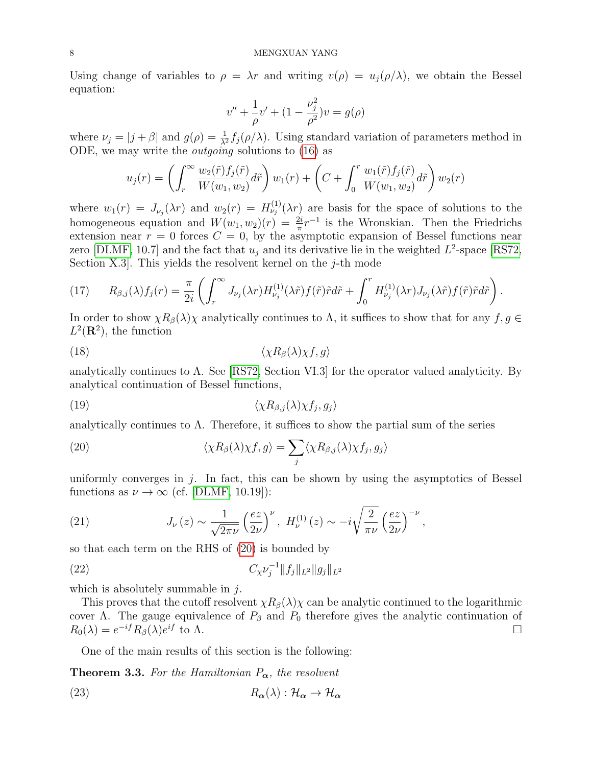Using change of variables to  $\rho = \lambda r$  and writing  $v(\rho) = u_j(\rho/\lambda)$ , we obtain the Bessel equation:

$$
v'' + \frac{1}{\rho}v' + (1 - \frac{\nu_j^2}{\rho^2})v = g(\rho)
$$

where  $\nu_j = |j + \beta|$  and  $g(\rho) = \frac{1}{\lambda^2} f_j(\rho/\lambda)$ . Using standard variation of parameters method in ODE, we may write the outgoing solutions to [\(16\)](#page-6-0) as

$$
u_j(r) = \left(\int_r^{\infty} \frac{w_2(\tilde{r})f_j(\tilde{r})}{W(w_1, w_2)} d\tilde{r}\right) w_1(r) + \left(C + \int_0^r \frac{w_1(\tilde{r})f_j(\tilde{r})}{W(w_1, w_2)} d\tilde{r}\right) w_2(r)
$$

where  $w_1(r) = J_{\nu_j}(\lambda r)$  and  $w_2(r) = H_{\nu_j}^{(1)}(\lambda r)$  are basis for the space of solutions to the homogeneous equation and  $W(w_1, w_2)(r) = \frac{2i}{\pi} r^{-1}$  is the Wronskian. Then the Friedrichs extension near  $r = 0$  forces  $C = 0$ , by the asymptotic expansion of Bessel functions near zero [\[DLMF,](#page-19-21) 10.7] and the fact that  $u_j$  and its derivative lie in the weighted  $L^2$ -space [\[RS72,](#page-20-5) Section X.3. This yields the resolvent kernel on the  $j$ -th mode

(17) 
$$
R_{\beta,j}(\lambda)f_j(r) = \frac{\pi}{2i} \left( \int_r^{\infty} J_{\nu_j}(\lambda r) H_{\nu_j}^{(1)}(\lambda \tilde{r}) f(\tilde{r}) \tilde{r} d\tilde{r} + \int_0^r H_{\nu_j}^{(1)}(\lambda r) J_{\nu_j}(\lambda \tilde{r}) f(\tilde{r}) \tilde{r} d\tilde{r} \right).
$$

In order to show  $\chi R_{\beta}(\lambda)\chi$  analytically continues to  $\Lambda$ , it suffices to show that for any  $f, g \in$  $L^2(\mathbf{R}^2)$ , the function

$$
\langle \chi R_{\beta}(\lambda)\chi f, g \rangle
$$

analytically continues to  $\Lambda$ . See [\[RS72,](#page-20-5) Section VI.3] for the operator valued analyticity. By analytical continuation of Bessel functions,

$$
\langle \chi R_{\beta,j}(\lambda)\chi f_j, g_j \rangle
$$

analytically continues to  $\Lambda$ . Therefore, it suffices to show the partial sum of the series

<span id="page-7-0"></span>(20) 
$$
\langle \chi R_{\beta}(\lambda)\chi f, g \rangle = \sum_{j} \langle \chi R_{\beta,j}(\lambda)\chi f_{j}, g_{j} \rangle
$$

uniformly converges in  $j$ . In fact, this can be shown by using the asymptotics of Bessel functions as  $\nu \to \infty$  (cf. [\[DLMF,](#page-19-21) 10.19]):

(21) 
$$
J_{\nu}(z) \sim \frac{1}{\sqrt{2\pi\nu}} \left(\frac{ez}{2\nu}\right)^{\nu}, H_{\nu}^{(1)}(z) \sim -i\sqrt{\frac{2}{\pi\nu}} \left(\frac{ez}{2\nu}\right)^{-\nu},
$$

so that each term on the RHS of [\(20\)](#page-7-0) is bounded by

(22) 
$$
C_{\chi} \nu_j^{-1} \|f_j\|_{L^2} \|g_j\|_{L^2}
$$

which is absolutely summable in  $j$ .

This proves that the cutoff resolvent  $\chi R_{\beta}(\lambda)\chi$  can be analytic continued to the logarithmic cover Λ. The gauge equivalence of  $P_\beta$  and  $P_0$  therefore gives the analytic continuation of  $R_0(\lambda) = e^{-if} R_\beta(\lambda) e$ if to  $\Lambda$ .

One of the main results of this section is the following:

**Theorem 3.3.** For the Hamiltonian  $P_{\alpha}$ , the resolvent

(23) 
$$
R_{\alpha}(\lambda) : \mathcal{H}_{\alpha} \to \mathcal{H}_{\alpha}
$$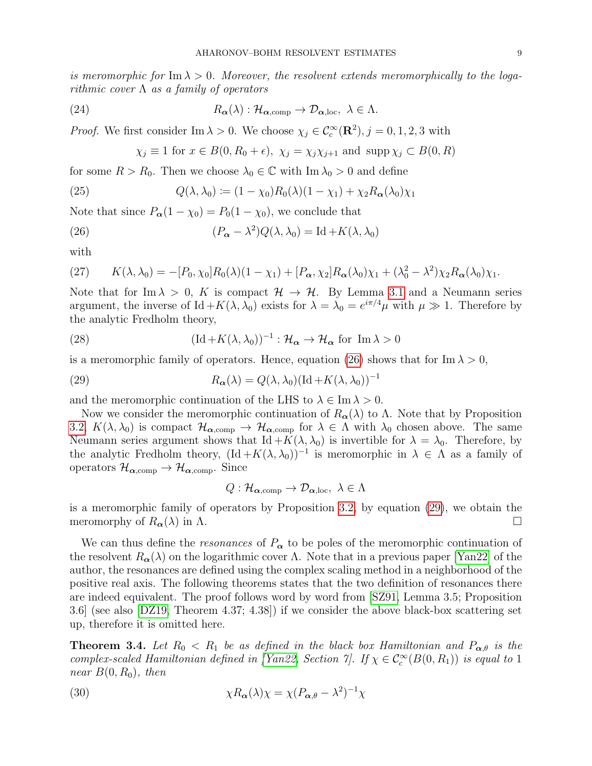is meromorphic for Im  $\lambda > 0$ . Moreover, the resolvent extends meromorphically to the logarithmic cover  $\Lambda$  as a family of operators

(24) 
$$
R_{\alpha}(\lambda) : \mathcal{H}_{\alpha, comp} \to \mathcal{D}_{\alpha, loc}, \lambda \in \Lambda.
$$

*Proof.* We first consider Im  $\lambda > 0$ . We choose  $\chi_j \in C_c^{\infty}(\mathbb{R}^2)$ ,  $j = 0, 1, 2, 3$  with

<span id="page-8-0"></span>
$$
\chi_j \equiv 1
$$
 for  $x \in B(0, R_0 + \epsilon)$ ,  $\chi_j = \chi_j \chi_{j+1}$  and  $\text{supp}\,\chi_j \subset B(0, R)$ 

for some  $R > R_0$ . Then we choose  $\lambda_0 \in \mathbb{C}$  with  $\text{Im }\lambda_0 > 0$  and define

(25) 
$$
Q(\lambda, \lambda_0) := (1 - \chi_0)R_0(\lambda)(1 - \chi_1) + \chi_2 R_{\alpha}(\lambda_0)\chi_1
$$

Note that since  $P_{\alpha}(1 - \chi_0) = P_0(1 - \chi_0)$ , we conclude that

(26) 
$$
(P_{\alpha} - \lambda^2)Q(\lambda, \lambda_0) = \mathrm{Id} + K(\lambda, \lambda_0)
$$

with

(27) 
$$
K(\lambda, \lambda_0) = -[P_0, \chi_0]R_0(\lambda)(1 - \chi_1) + [P_{\alpha}, \chi_2]R_{\alpha}(\lambda_0)\chi_1 + (\lambda_0^2 - \lambda^2)\chi_2R_{\alpha}(\lambda_0)\chi_1.
$$

Note that for Im  $\lambda > 0$ , K is compact  $\mathcal{H} \to \mathcal{H}$ . By Lemma [3.1](#page-6-1) and a Neumann series argument, the inverse of Id  $+K(\lambda, \lambda_0)$  exists for  $\lambda = \lambda_0 = e^{i\pi/4}\mu$  with  $\mu \gg 1$ . Therefore by the analytic Fredholm theory,

(28) 
$$
(\text{Id} + K(\lambda, \lambda_0))^{-1} : \mathcal{H}_{\alpha} \to \mathcal{H}_{\alpha} \text{ for } \text{Im } \lambda > 0
$$

is a meromorphic family of operators. Hence, equation [\(26\)](#page-8-0) shows that for Im  $\lambda > 0$ ,

(29) 
$$
R_{\alpha}(\lambda) = Q(\lambda, \lambda_0) (\text{Id} + K(\lambda, \lambda_0))^{-1}
$$

and the meromorphic continuation of the LHS to  $\lambda \in \text{Im }\lambda > 0$ .

Now we consider the meromorphic continuation of  $R_{\alpha}(\lambda)$  to  $\Lambda$ . Note that by Proposition [3.2,](#page-6-2)  $K(\lambda, \lambda_0)$  is compact  $\mathcal{H}_{\alpha, comp} \to \mathcal{H}_{\alpha, comp}$  for  $\lambda \in \Lambda$  with  $\lambda_0$  chosen above. The same Neumann series argument shows that Id  $+K(\lambda, \lambda_0)$  is invertible for  $\lambda = \lambda_0$ . Therefore, by the analytic Fredholm theory,  $(\text{Id} + K(\lambda, \lambda_0))^{-1}$  is meromorphic in  $\lambda \in \Lambda$  as a family of operators  $\mathcal{H}_{\alpha,\text{comp}} \to \mathcal{H}_{\alpha,\text{comp}}$ . Since

<span id="page-8-1"></span>
$$
Q: \mathcal{H}_{\boldsymbol{\alpha}, \text{comp}} \to \mathcal{D}_{\boldsymbol{\alpha}, \text{loc}}, \ \lambda \in \Lambda
$$

is a meromorphic family of operators by Proposition [3.2,](#page-6-2) by equation [\(29\)](#page-8-1), we obtain the meromorphy of  $R_{\alpha}(\lambda)$  in  $\Lambda$ .

We can thus define the *resonances* of  $P_{\alpha}$  to be poles of the meromorphic continuation of the resolvent  $R_{\alpha}(\lambda)$  on the logarithmic cover  $\Lambda$ . Note that in a previous paper [\[Yan22\]](#page-20-0) of the author, the resonances are defined using the complex scaling method in a neighborhood of the positive real axis. The following theorems states that the two definition of resonances there are indeed equivalent. The proof follows word by word from [\[SZ91,](#page-20-3) Lemma 3.5; Proposition 3.6] (see also [\[DZ19,](#page-19-20) Theorem 4.37; 4.38]) if we consider the above black-box scattering set up, therefore it is omitted here.

**Theorem 3.4.** Let  $R_0 < R_1$  be as defined in the black box Hamiltonian and  $P_{\alpha,\theta}$  is the complex-scaled Hamiltonian defined in [\[Yan22,](#page-20-0) Section 7]. If  $\chi \in C_c^{\infty}(B(0,R_1))$  is equal to 1 near  $B(0, R_0)$ , then

(30) 
$$
\chi R_{\alpha}(\lambda)\chi = \chi (P_{\alpha,\theta} - \lambda^2)^{-1}\chi
$$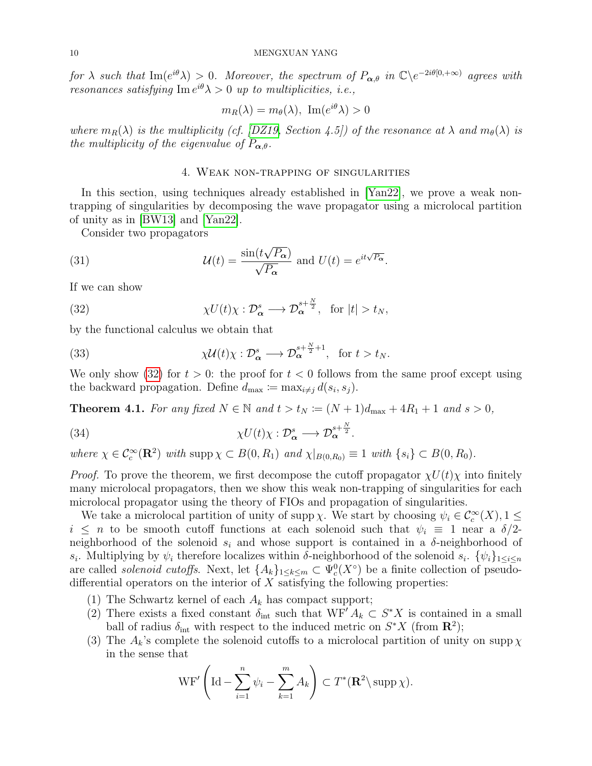for  $\lambda$  such that  $\text{Im}(e^{i\theta}\lambda) > 0$ . Moreover, the spectrum of  $P_{\alpha,\theta}$  in  $\mathbb{C}\backslash e^{-2i\theta[0,+\infty)}$  agrees with resonances satisfying  $\text{Im } e^{i\theta} \lambda > 0$  up to multiplicities, i.e.,

$$
m_R(\lambda) = m_{\theta}(\lambda), \ \text{Im}(e^{i\theta}\lambda) > 0
$$

where  $m_R(\lambda)$  is the multiplicity (cf. [\[DZ19,](#page-19-20) Section 4.5]) of the resonance at  $\lambda$  and  $m_{\theta}(\lambda)$  is the multiplicity of the eigenvalue of  $P_{\alpha,\theta}$ .

## <span id="page-9-1"></span>4. Weak non-trapping of singularities

<span id="page-9-0"></span>In this section, using techniques already established in [\[Yan22\]](#page-20-0), we prove a weak nontrapping of singularities by decomposing the wave propagator using a microlocal partition of unity as in [\[BW13\]](#page-19-0) and [\[Yan22\]](#page-20-0).

Consider two propagators

(31) 
$$
\mathcal{U}(t) = \frac{\sin(t\sqrt{P_{\alpha}})}{\sqrt{P_{\alpha}}} \text{ and } U(t) = e^{it\sqrt{P_{\alpha}}}.
$$

If we can show

(32) 
$$
\chi U(t)\chi:\mathcal{D}_{\alpha}^{s}\longrightarrow\mathcal{D}_{\alpha}^{s+\frac{N}{2}},\ \ \text{for}\ |t|>t_N,
$$

by the functional calculus we obtain that

(33) 
$$
\chi \mathcal{U}(t) \chi : \mathcal{D}_{\alpha}^{s} \longrightarrow \mathcal{D}_{\alpha}^{s + \frac{N}{2} + 1}, \text{ for } t > t_{N}.
$$

We only show [\(32\)](#page-9-1) for  $t > 0$ : the proof for  $t < 0$  follows from the same proof except using the backward propagation. Define  $d_{\text{max}} := \max_{i \neq j} d(s_i, s_j)$ .

<span id="page-9-2"></span>**Theorem 4.1.** For any fixed  $N \in \mathbb{N}$  and  $t > t_N := (N + 1)d_{\text{max}} + 4R_1 + 1$  and  $s > 0$ ,

(34) 
$$
\chi U(t)\chi:\mathcal{D}_{\alpha}^{s}\longrightarrow\mathcal{D}_{\alpha}^{s+\frac{N}{2}}.
$$

where  $\chi \in C_c^{\infty}(\mathbf{R}^2)$  with supp  $\chi \subset B(0, R_1)$  and  $\chi|_{B(0, R_0)} \equiv 1$  with  $\{s_i\} \subset B(0, R_0)$ .

*Proof.* To prove the theorem, we first decompose the cutoff propagator  $\chi U(t) \chi$  into finitely many microlocal propagators, then we show this weak non-trapping of singularities for each microlocal propagator using the theory of FIOs and propagation of singularities.

We take a microlocal partition of unity of supp  $\chi$ . We start by choosing  $\psi_i \in C_c^{\infty}(X)$ ,  $1 \leq$  $i \leq n$  to be smooth cutoff functions at each solenoid such that  $\psi_i \equiv 1$  near a  $\delta/2$ neighborhood of the solenoid  $s_i$  and whose support is contained in a  $\delta$ -neighborhood of  $s_i$ . Multiplying by  $\psi_i$  therefore localizes within  $\delta$ -neighborhood of the solenoid  $s_i$ .  $\{\psi_i\}_{1 \leq i \leq n}$ are called *solenoid cutoffs*. Next, let  ${A_k}_{1\leq k\leq m} \subset \Psi_c^0(X^{\circ})$  be a finite collection of pseudodifferential operators on the interior of  $X$  satisfying the following properties:

- (1) The Schwartz kernel of each  $A_k$  has compact support;
- (2) There exists a fixed constant  $\delta_{\rm int}$  such that  $WF' A_k \subset S^*X$  is contained in a small ball of radius  $\delta_{\rm int}$  with respect to the induced metric on  $S^*X$  (from  $\mathbb{R}^2$ );
- (3) The  $A_k$ 's complete the solenoid cutoffs to a microlocal partition of unity on supp  $\chi$ in the sense that

$$
\operatorname{WF}'\left(\operatorname{Id}-\sum_{i=1}^n \psi_i-\sum_{k=1}^m A_k\right) \subset T^*(\mathbf{R}^2\setminus \operatorname{supp}\chi).
$$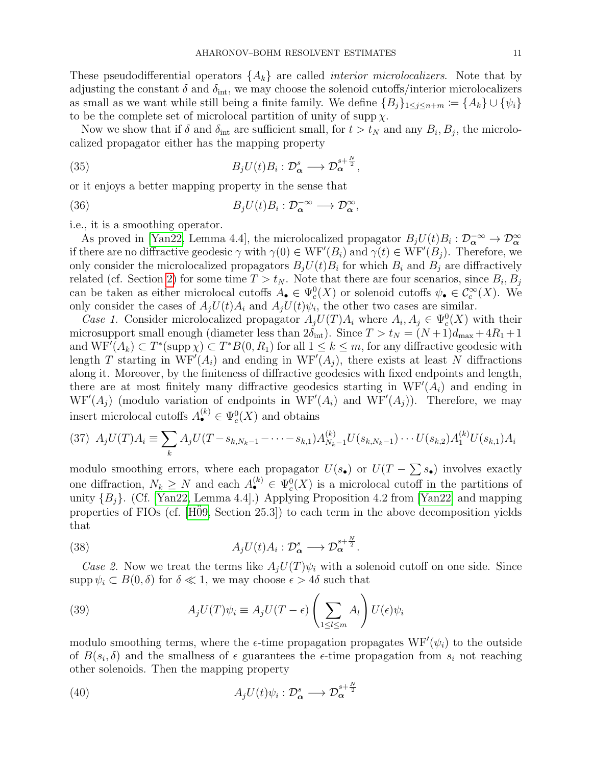These pseudodifferential operators  $\{A_k\}$  are called *interior microlocalizers*. Note that by adjusting the constant  $\delta$  and  $\delta_{\rm int}$ , we may choose the solenoid cutoffs/interior microlocalizers as small as we want while still being a finite family. We define  ${B_i}_{1 \leq i \leq n+m} := {A_k} \cup {\psi_i}$ to be the complete set of microlocal partition of unity of supp  $\chi$ .

Now we show that if  $\delta$  and  $\delta_{\rm int}$  are sufficient small, for  $t > t_N$  and any  $B_i, B_j$ , the microlocalized propagator either has the mapping property

(35) 
$$
B_j U(t) B_i : \mathcal{D}_{\alpha}^s \longrightarrow \mathcal{D}_{\alpha}^{s + \frac{N}{2}},
$$

or it enjoys a better mapping property in the sense that

(36) 
$$
B_j U(t) B_i : \mathcal{D}_{\alpha}^{-\infty} \longrightarrow \mathcal{D}_{\alpha}^{\infty},
$$

i.e., it is a smoothing operator.

As proved in [\[Yan22,](#page-20-0) Lemma 4.4], the microlocalized propagator  $B_jU(t)B_i : \mathcal{D}_\alpha^{-\infty} \to \mathcal{D}_\alpha^{\infty}$ if there are no diffractive geodesic  $\gamma$  with  $\gamma(0) \in \text{WF}'(B_i)$  and  $\gamma(t) \in \text{WF}'(B_j)$ . Therefore, we only consider the microlocalized propagators  $B_j U(t) B_i$  for which  $B_i$  and  $B_j$  are diffractively related (cf. Section [2\)](#page-3-0) for some time  $T > t_N$ . Note that there are four scenarios, since  $B_i, B_j$ can be taken as either microlocal cutoffs  $A_{\bullet} \in \Psi_c^0(X)$  or solenoid cutoffs  $\psi_{\bullet} \in C_c^{\infty}(X)$ . We only consider the cases of  $A_j U(t) A_i$  and  $A_j U(t) \psi_i$ , the other two cases are similar.

Case 1. Consider microlocalized propagator  $A_jU(T)A_i$  where  $A_i, A_j \in \Psi_c^0(X)$  with their microsupport small enough (diameter less than  $2\delta_{\rm int}$ ). Since  $T > t_N = (N+1)d_{\rm max} + 4R_1 + 1$ and  $WF'(A_k) \subset T^*(\text{supp }\chi) \subset T^*B(0, R_1)$  for all  $1 \leq k \leq m$ , for any diffractive geodesic with length T starting in  $WF'(A_i)$  and ending in  $WF'(A_j)$ , there exists at least N diffractions along it. Moreover, by the finiteness of diffractive geodesics with fixed endpoints and length, there are at most finitely many diffractive geodesics starting in  $WF'(A_i)$  and ending in  $WF'(A_j)$  (modulo variation of endpoints in  $WF'(A_i)$  and  $WF'(A_j)$ ). Therefore, we may insert microlocal cutoffs  $A_{\bullet}^{(k)} \in \Psi_c^0(X)$  and obtains

$$
(37) A_j U(T) A_i \equiv \sum_k A_j U(T - s_{k,N_k-1} - \dots - s_{k,1}) A_{N_k-1}^{(k)} U(s_{k,N_k-1}) \cdots U(s_{k,2}) A_1^{(k)} U(s_{k,1}) A_i
$$

modulo smoothing errors, where each propagator  $U(s_{\bullet})$  or  $U(T - \sum s_{\bullet})$  involves exactly one diffraction,  $N_k \geq N$  and each  $A_{\bullet}^{(k)} \in \Psi_c^0(X)$  is a microlocal cutoff in the partitions of unity  ${B_i}$ . (Cf. [\[Yan22,](#page-20-0) Lemma 4.4].) Applying Proposition 4.2 from [\[Yan22\]](#page-20-0) and mapping properties of FIOs (cf.  $[H\ddot{0}9, Section 25.3]$ ) to each term in the above decomposition yields that

(38) 
$$
A_j U(t) A_i : \mathcal{D}_{\alpha}^s \longrightarrow \mathcal{D}_{\alpha}^{s + \frac{N}{2}}.
$$

Case 2. Now we treat the terms like  $A_iU(T)\psi_i$  with a solenoid cutoff on one side. Since supp  $\psi_i \subset B(0,\delta)$  for  $\delta \ll 1$ , we may choose  $\epsilon > 4\delta$  such that

(39) 
$$
A_j U(T) \psi_i \equiv A_j U(T - \epsilon) \left( \sum_{1 \le l \le m} A_l \right) U(\epsilon) \psi_i
$$

modulo smoothing terms, where the  $\epsilon$ -time propagation propagates  $WF'(\psi_i)$  to the outside of  $B(s_i, \delta)$  and the smallness of  $\epsilon$  guarantees the  $\epsilon$ -time propagation from  $s_i$  not reaching other solenoids. Then the mapping property

(40) 
$$
A_j U(t) \psi_i : \mathcal{D}_{\alpha}^s \longrightarrow \mathcal{D}_{\alpha}^{s + \frac{N}{2}}
$$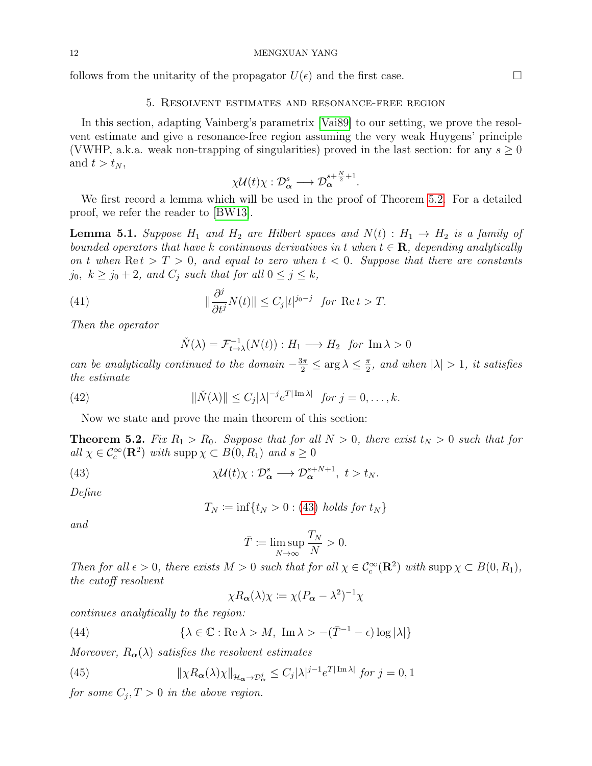follows from the unitarity of the propagator  $U(\epsilon)$  and the first case.

## 5. Resolvent estimates and resonance-free region

<span id="page-11-0"></span>In this section, adapting Vainberg's parametrix [\[Vai89\]](#page-20-1) to our setting, we prove the resolvent estimate and give a resonance-free region assuming the very weak Huygens' principle (VWHP, a.k.a. weak non-trapping of singularities) proved in the last section: for any  $s \geq 0$ and  $t > t_N$ ,

$$
\chi \mathcal{U}(t) \chi : \mathcal{D}_{\alpha}^{s} \longrightarrow \mathcal{D}_{\alpha}^{s + \frac{N}{2} + 1}.
$$

We first record a lemma which will be used in the proof of Theorem [5.2.](#page-11-1) For a detailed proof, we refer the reader to [\[BW13\]](#page-19-0).

<span id="page-11-5"></span>**Lemma 5.1.** Suppose  $H_1$  and  $H_2$  are Hilbert spaces and  $N(t)$  :  $H_1 \rightarrow H_2$  is a family of bounded operators that have k continuous derivatives in t when  $t \in \mathbf{R}$ , depending analytically on t when  $\text{Re } t > T > 0$ , and equal to zero when  $t < 0$ . Suppose that there are constants  $j_0, k \geq j_0 + 2$ , and  $C_j$  such that for all  $0 \leq j \leq k$ ,

(41) 
$$
\|\frac{\partial^j}{\partial t^j} N(t)\| \le C_j |t|^{j_0 - j} \text{ for } \text{Re } t > T.
$$

Then the operator

$$
\check{N}(\lambda) = \mathcal{F}_{t \to \lambda}^{-1}(N(t)) : H_1 \longrightarrow H_2 \text{ for } \text{Im } \lambda > 0
$$

can be analytically continued to the domain  $-\frac{3\pi}{2} \leq \arg \lambda \leq \frac{\pi}{2}$  $\frac{\pi}{2}$ , and when  $|\lambda| > 1$ , it satisfies the estimate

(42) 
$$
\|\check{N}(\lambda)\| \leq C_j |\lambda|^{-j} e^{T|\operatorname{Im} \lambda|} \text{ for } j = 0, \dots, k.
$$

Now we state and prove the main theorem of this section:

<span id="page-11-1"></span>**Theorem 5.2.** Fix  $R_1 > R_0$ . Suppose that for all  $N > 0$ , there exist  $t_N > 0$  such that for all  $\chi \in \mathcal{C}_c^{\infty}(\mathbf{R}^2)$  with supp  $\chi \subset B(0, R_1)$  and  $s \geq 0$ 

(43) 
$$
\chi \mathcal{U}(t) \chi : \mathcal{D}_{\alpha}^{s} \longrightarrow \mathcal{D}_{\alpha}^{s+N+1}, \ t > t_N.
$$

Define

<span id="page-11-2"></span>
$$
T_N := \inf\{t_N > 0 : (43) \text{ holds for } t_N\}
$$

and

$$
\bar{T} \coloneqq \limsup_{N \to \infty} \frac{T_N}{N} > 0.
$$

Then for all  $\epsilon > 0$ , there exists  $M > 0$  such that for all  $\chi \in C_c^{\infty}(\mathbf{R}^2)$  with supp  $\chi \subset B(0, R_1)$ , the cutoff resolvent

<span id="page-11-4"></span><span id="page-11-3"></span>
$$
\chi R_{\alpha}(\lambda)\chi \coloneqq \chi (P_{\alpha} - \lambda^2)^{-1} \chi
$$

continues analytically to the region:

(44) 
$$
\{\lambda \in \mathbb{C} : \text{Re}\,\lambda > M, \text{ Im}\,\lambda > -(\bar{T}^{-1} - \epsilon)\log|\lambda|\}
$$

Moreover,  $R_{\alpha}(\lambda)$  satisfies the resolvent estimates

(45) 
$$
\|\chi R_{\alpha}(\lambda)\chi\|_{\mathcal{H}_{\alpha}\to\mathcal{D}_{\alpha}^{j}} \leq C_{j}|\lambda|^{j-1}e^{T|\operatorname{Im}\lambda|} \text{ for } j=0,1
$$

for some  $C_j, T > 0$  in the above region.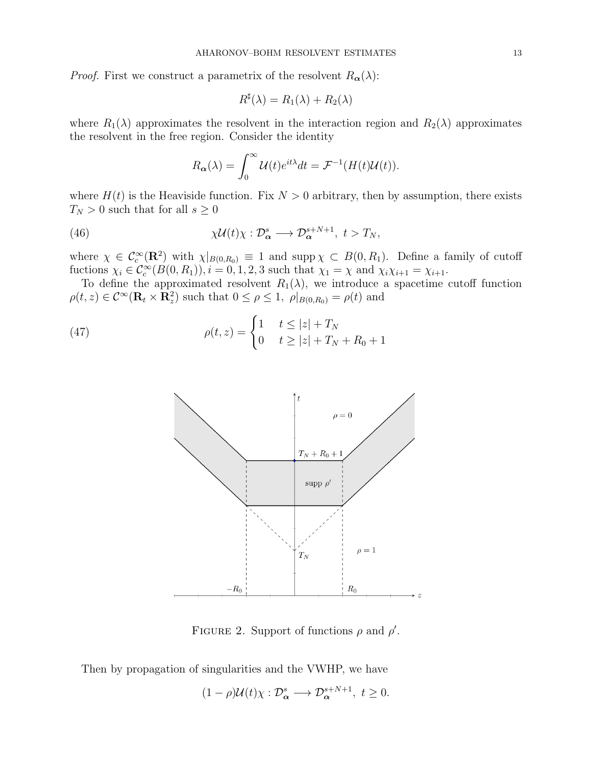*Proof.* First we construct a parametrix of the resolvent  $R_{\alpha}(\lambda)$ :

$$
R^{\sharp}(\lambda) = R_1(\lambda) + R_2(\lambda)
$$

where  $R_1(\lambda)$  approximates the resolvent in the interaction region and  $R_2(\lambda)$  approximates the resolvent in the free region. Consider the identity

$$
R_{\alpha}(\lambda) = \int_0^{\infty} \mathcal{U}(t)e^{it\lambda} dt = \mathcal{F}^{-1}(H(t)\mathcal{U}(t)).
$$

where  $H(t)$  is the Heaviside function. Fix  $N > 0$  arbitrary, then by assumption, there exists  $T_N > 0$  such that for all  $s \geq 0$ 

(46) 
$$
\chi \mathcal{U}(t) \chi : \mathcal{D}_{\alpha}^{s} \longrightarrow \mathcal{D}_{\alpha}^{s+N+1}, \ t > T_{N},
$$

where  $\chi \in \mathcal{C}_c^{\infty}(\mathbf{R}^2)$  with  $\chi|_{B(0,R_0)} \equiv 1$  and supp $\chi \subset B(0,R_1)$ . Define a family of cutoff fuctions  $\chi_i \in C_c^{\infty}(B(0, R_1)), i = 0, 1, 2, 3$  such that  $\chi_1 = \chi$  and  $\chi_i \chi_{i+1} = \chi_{i+1}$ .

To define the approximated resolvent  $R_1(\lambda)$ , we introduce a spacetime cutoff function  $\rho(t, z) \in C^{\infty}(\mathbf{R}_t \times \mathbf{R}_z^2)$  such that  $0 \le \rho \le 1$ ,  $\rho|_{B(0,R_0)} = \rho(t)$  and

(47) 
$$
\rho(t,z) = \begin{cases} 1 & t \le |z| + T_N \\ 0 & t \ge |z| + T_N + R_0 + 1 \end{cases}
$$



FIGURE 2. Support of functions  $\rho$  and  $\rho'$ .

Then by propagation of singularities and the VWHP, we have

$$
(1 - \rho)U(t)\chi: \mathcal{D}_{\alpha}^{s} \longrightarrow \mathcal{D}_{\alpha}^{s+N+1}, \ t \geq 0.
$$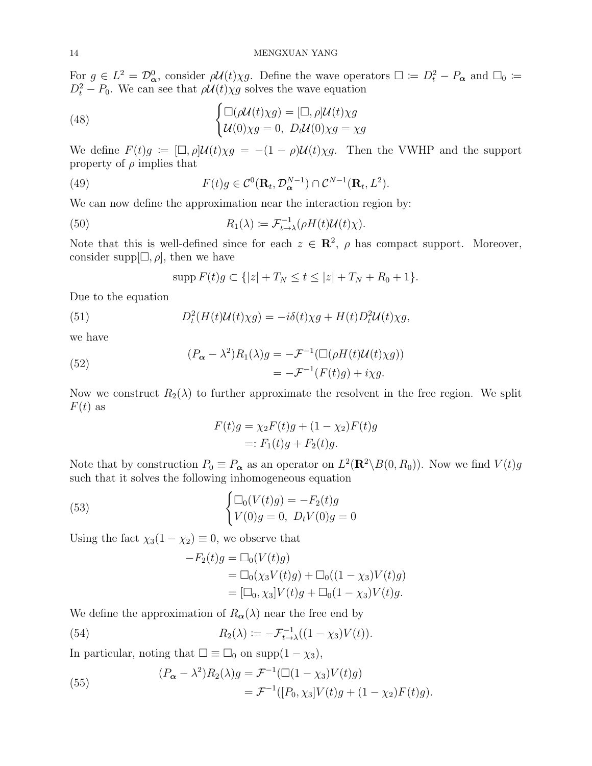For  $g \in L^2 = \mathcal{D}_{\alpha}^0$ , consider  $\rho \mathcal{U}(t) \chi g$ . Define the wave operators  $\Box := D_t^2 - P_{\alpha}$  and  $\Box_0 :=$  $D_t^2 - P_0$ . We can see that  $\rho \mathcal{U}(t) \chi g$  solves the wave equation

(48) 
$$
\begin{cases} \Box(\rho \mathcal{U}(t)\chi g) = [\Box, \rho] \mathcal{U}(t)\chi g \\ \mathcal{U}(0)\chi g = 0, \ D_t \mathcal{U}(0)\chi g = \chi g \end{cases}
$$

We define  $F(t)g := [\Box, \rho] \mathcal{U}(t) \chi g = -(1 - \rho) \mathcal{U}(t) \chi g$ . Then the VWHP and the support property of  $\rho$  implies that

(49) 
$$
F(t)g \in \mathcal{C}^0(\mathbf{R}_t, \mathcal{D}_{\alpha}^{N-1}) \cap \mathcal{C}^{N-1}(\mathbf{R}_t, L^2).
$$

We can now define the approximation near the interaction region by:

(50) 
$$
R_1(\lambda) := \mathcal{F}_{t \to \lambda}^{-1}(\rho H(t) \mathcal{U}(t) \chi).
$$

Note that this is well-defined since for each  $z \in \mathbb{R}^2$ ,  $\rho$  has compact support. Moreover, consider supp $[\Box, \rho]$ , then we have

<span id="page-13-0"></span>
$$
\mathrm{supp}\, F(t)g \subset \{|z| + T_N \le t \le |z| + T_N + R_0 + 1\}.
$$

Due to the equation

(51) 
$$
D_t^2(H(t)\mathcal{U}(t)\chi g) = -i\delta(t)\chi g + H(t)D_t^2\mathcal{U}(t)\chi g,
$$

we have

(52)  
\n
$$
(P_{\alpha} - \lambda^2)R_1(\lambda)g = -\mathcal{F}^{-1}(\Box(\rho H(t)\mathcal{U}(t)\chi g))
$$
\n
$$
= -\mathcal{F}^{-1}(F(t)g) + i\chi g.
$$

Now we construct  $R_2(\lambda)$  to further approximate the resolvent in the free region. We split  $F(t)$  as

$$
F(t)g = \chi_2 F(t)g + (1 - \chi_2)F(t)g
$$
  
=:  $F_1(t)g + F_2(t)g$ .

Note that by construction  $P_0 \equiv P_{\alpha}$  as an operator on  $L^2(\mathbf{R}^2 \setminus B(0, R_0))$ . Now we find  $V(t)g$ such that it solves the following inhomogeneous equation

(53) 
$$
\begin{cases} \Box_0(V(t)g) = -F_2(t)g\\ V(0)g = 0, \ D_t V(0)g = 0 \end{cases}
$$

Using the fact  $\chi_3(1 - \chi_2) \equiv 0$ , we observe that

$$
-F_2(t)g = \Box_0(V(t)g)
$$
  
=  $\Box_0(\chi_3 V(t)g) + \Box_0((1 - \chi_3)V(t)g)$   
=  $[\Box_0, \chi_3]V(t)g + \Box_0(1 - \chi_3)V(t)g.$ 

We define the approximation of  $R_{\alpha}(\lambda)$  near the free end by

(54) 
$$
R_2(\lambda) := -\mathcal{F}_{t \to \lambda}^{-1}((1 - \chi_3)V(t)).
$$

In particular, noting that  $\square \equiv \square_0$  on supp $(1 - \chi_3)$ ,

(55) 
$$
(P_{\alpha} - \lambda^2) R_2(\lambda) g = \mathcal{F}^{-1}(\Box(1 - \chi_3)V(t)g) = \mathcal{F}^{-1}([P_0, \chi_3]V(t)g + (1 - \chi_2)F(t)g).
$$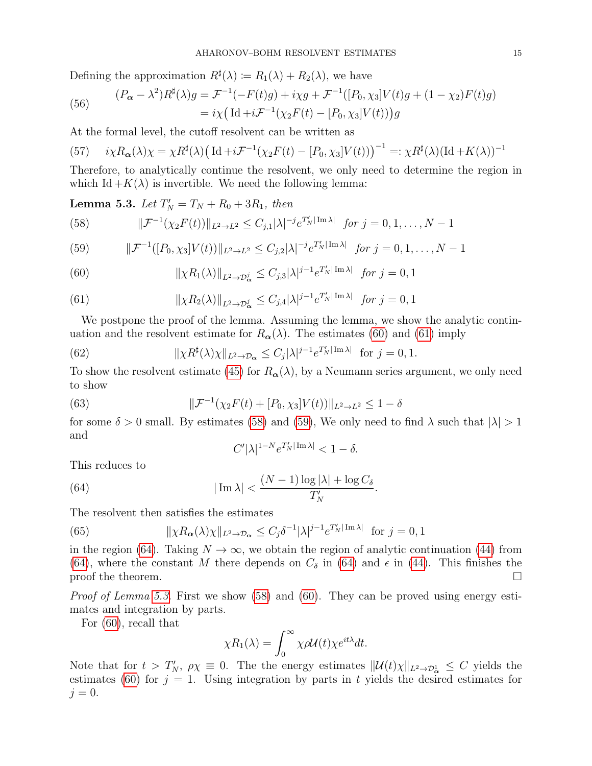Defining the approximation  $R^{\sharp}(\lambda) \coloneqq R_1(\lambda) + R_2(\lambda)$ , we have

(56) 
$$
(P_{\alpha} - \lambda^2) R^{\sharp}(\lambda) g = \mathcal{F}^{-1}(-F(t)g) + i\chi g + \mathcal{F}^{-1}([P_0, \chi_3]V(t)g + (1 - \chi_2)F(t)g) = i\chi \left( \mathrm{Id} + i\mathcal{F}^{-1}(\chi_2 F(t) - [P_0, \chi_3]V(t)) \right)g
$$

At the formal level, the cutoff resolvent can be written as

(57) 
$$
i\chi R_{\alpha}(\lambda)\chi = \chi R^{\sharp}(\lambda) \left( \mathrm{Id} + i \mathcal{F}^{-1}(\chi_2 F(t) - [P_0, \chi_3] V(t)) \right)^{-1} =: \chi R^{\sharp}(\lambda) (\mathrm{Id} + K(\lambda))^{-1}
$$

Therefore, to analytically continue the resolvent, we only need to determine the region in which Id  $+K(\lambda)$  is invertible. We need the following lemma:

<span id="page-14-5"></span>**Lemma 5.3.** Let  $T'_N = T_N + R_0 + 3R_1$ , then

<span id="page-14-2"></span>(58) 
$$
\|\mathcal{F}^{-1}(\chi_2 F(t))\|_{L^2 \to L^2} \leq C_{j,1} |\lambda|^{-j} e^{T'_N |\text{Im }\lambda|} \text{ for } j = 0, 1, ..., N-1
$$

<span id="page-14-3"></span>(59) 
$$
\|\mathcal{F}^{-1}([P_0,\chi_3]V(t))\|_{L^2\to L^2} \leq C_{j,2}|\lambda|^{-j}e^{T_N'|\operatorname{Im}\lambda|} \text{ for } j=0,1,\ldots,N-1
$$

<span id="page-14-0"></span>(60) 
$$
\|\chi R_1(\lambda)\|_{L^2 \to \mathcal{D}_{\alpha}^j} \leq C_{j,3} |\lambda|^{j-1} e^{T_N' |\operatorname{Im} \lambda|} \text{ for } j = 0, 1
$$

<span id="page-14-1"></span>(61) 
$$
\|\chi R_2(\lambda)\|_{L^2 \to \mathcal{D}_{\alpha}^j} \leq C_{j,4} |\lambda|^{j-1} e^{T_N' |\operatorname{Im} \lambda|} \text{ for } j = 0, 1
$$

We postpone the proof of the lemma. Assuming the lemma, we show the analytic continuation and the resolvent estimate for  $R_{\alpha}(\lambda)$ . The estimates [\(60\)](#page-14-0) and [\(61\)](#page-14-1) imply

(62) 
$$
\|\chi R^{\sharp}(\lambda)\chi\|_{L^{2}\to\mathcal{D}_{\alpha}} \leq C_{j}|\lambda|^{j-1}e^{T'_{N}|\operatorname{Im}\lambda|} \text{ for } j=0,1.
$$

To show the resolvent estimate [\(45\)](#page-11-3) for  $R_{\alpha}(\lambda)$ , by a Neumann series argument, we only need to show

(63) 
$$
\|\mathcal{F}^{-1}(\chi_2 F(t) + [P_0, \chi_3]V(t))\|_{L^2 \to L^2} \le 1 - \delta
$$

for some  $\delta > 0$  small. By estimates [\(58\)](#page-14-2) and [\(59\)](#page-14-3), We only need to find  $\lambda$  such that  $|\lambda| > 1$ and

<span id="page-14-4"></span>
$$
C'|\lambda|^{1-N}e^{T'_N|\operatorname{Im}\lambda|} < 1 - \delta.
$$

This reduces to

(64) 
$$
|\operatorname{Im}\lambda| < \frac{(N-1)\log|\lambda| + \log C_{\delta}}{T_N'}.
$$

The resolvent then satisfies the estimates

(65) 
$$
\|\chi R_{\alpha}(\lambda)\chi\|_{L^2 \to \mathcal{D}_{\alpha}} \leq C_j \delta^{-1} |\lambda|^{j-1} e^{T_N' |\operatorname{Im} \lambda|} \text{ for } j = 0, 1
$$

in the region [\(64\)](#page-14-4). Taking  $N \to \infty$ , we obtain the region of analytic continuation [\(44\)](#page-11-4) from [\(64\)](#page-14-4), where the constant M there depends on  $C_{\delta}$  in (64) and  $\epsilon$  in [\(44\)](#page-11-4). This finishes the proof the theorem.  $\Box$ 

Proof of Lemma [5.3.](#page-14-5) First we show [\(58\)](#page-14-2) and [\(60\)](#page-14-0). They can be proved using energy estimates and integration by parts.

For [\(60\)](#page-14-0), recall that

$$
\chi R_1(\lambda) = \int_0^\infty \chi \rho \mathcal{U}(t) \chi e^{it\lambda} dt.
$$

Note that for  $t > T_N$ ,  $\rho \chi \equiv 0$ . The the energy estimates  $||\mathcal{U}(t)\chi||_{L^2 \to \mathcal{D}_{\alpha}^1} \leq C$  yields the estimates [\(60\)](#page-14-0) for  $j = 1$ . Using integration by parts in t yields the desired estimates for  $j=0$ .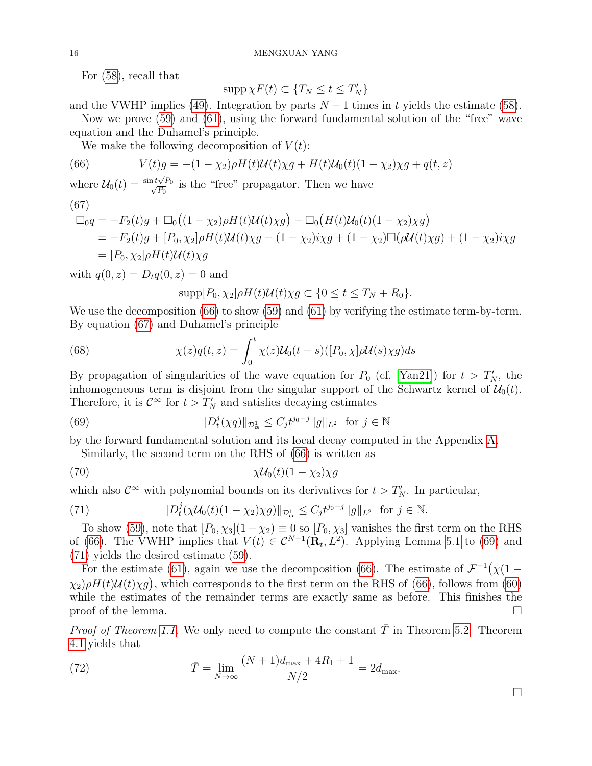For [\(58\)](#page-14-2), recall that

$$
\operatorname{supp}\chi F(t)\subset\{T_N\leq t\leq T'_N\}
$$

and the VWHP implies [\(49\)](#page-13-0). Integration by parts  $N-1$  times in t yields the estimate [\(58\)](#page-14-2).

Now we prove [\(59\)](#page-14-3) and [\(61\)](#page-14-1), using the forward fundamental solution of the "free" wave equation and the Duhamel's principle.

<span id="page-15-0"></span>We make the following decomposition of  $V(t)$ :

(66) 
$$
V(t)g = -(1 - \chi_2)\rho H(t)\mathcal{U}(t)\chi g + H(t)\mathcal{U}_0(t)(1 - \chi_2)\chi g + q(t, z)
$$

where 
$$
U_0(t) = \frac{\sin t \sqrt{P_0}}{\sqrt{P_0}}
$$
 is the "free" propagator. Then we have

$$
\begin{array}{c} (67) \\ - \end{array}
$$

<span id="page-15-1"></span>
$$
\Box_0 q = -F_2(t)g + \Box_0 ((1 - \chi_2)\rho H(t)\mathcal{U}(t)\chi g) - \Box_0 (H(t)\mathcal{U}_0(t)(1 - \chi_2)\chi g)
$$
  
=  $-F_2(t)g + [P_0, \chi_2]\rho H(t)\mathcal{U}(t)\chi g - (1 - \chi_2)i\chi g + (1 - \chi_2)\Box(\rho \mathcal{U}(t)\chi g) + (1 - \chi_2)i\chi g$   
=  $[P_0, \chi_2]\rho H(t)\mathcal{U}(t)\chi g$ 

with  $q(0, z) = D_t q(0, z) = 0$  and

$$
\mathrm{supp}[P_0,\chi_2]\rho H(t)\mathcal{U}(t)\chi g\subset\{0\leq t\leq T_N+R_0\}.
$$

We use the decomposition [\(66\)](#page-15-0) to show [\(59\)](#page-14-3) and [\(61\)](#page-14-1) by verifying the estimate term-by-term. By equation [\(67\)](#page-15-1) and Duhamel's principle

(68) 
$$
\chi(z)q(t,z) = \int_0^t \chi(z)\mathcal{U}_0(t-s)([P_0,\chi]\rho\mathcal{U}(s)\chi g)ds
$$

By propagation of singularities of the wave equation for  $P_0$  (cf. [\[Yan21\]](#page-20-6)) for  $t > T_N'$ , the inhomogeneous term is disjoint from the singular support of the Schwartz kernel of  $\mathcal{U}_0(t)$ . Therefore, it is  $\mathcal{C}^{\infty}$  for  $t > T'_{N}$  and satisfies decaying estimates

(69) 
$$
||D_t^j(\chi q)||_{\mathcal{D}_{\alpha}^1} \leq C_j t^{j_0-j} ||g||_{L^2} \text{ for } j \in \mathbb{N}
$$

by the forward fundamental solution and its local decay computed in the Appendix [A.](#page-17-0)

<span id="page-15-2"></span>Similarly, the second term on the RHS of [\(66\)](#page-15-0) is written as

(70) 
$$
\chi \mathcal{U}_0(t)(1-\chi_2)\chi g
$$

which also  $\mathcal{C}^{\infty}$  with polynomial bounds on its derivatives for  $t > T_N'$ . In particular,

<span id="page-15-3"></span>(71) 
$$
||D_t^j(\chi \mathcal{U}_0(t)(1-\chi_2)\chi g)||_{\mathcal{D}_{\alpha}^1} \leq C_j t^{j_0-j} ||g||_{L^2} \text{ for } j \in \mathbb{N}.
$$

To show [\(59\)](#page-14-3), note that  $[P_0, \chi_3](1 - \chi_2) \equiv 0$  so  $[P_0, \chi_3]$  vanishes the first term on the RHS of [\(66\)](#page-15-0). The VWHP implies that  $V(t) \in C^{N-1}(\mathbf{R}_t, L^2)$ . Applying Lemma [5.1](#page-11-5) to [\(69\)](#page-15-2) and [\(71\)](#page-15-3) yields the desired estimate [\(59\)](#page-14-3).

For the estimate [\(61\)](#page-14-1), again we use the decomposition [\(66\)](#page-15-0). The estimate of F −1 χ(1 −  $\chi_2$ ) $\rho H(t)U(t)\chi g$ , which corresponds to the first term on the RHS of [\(66\)](#page-15-0), follows from [\(60\)](#page-14-0) while the estimates of the remainder terms are exactly same as before. This finishes the proof of the lemma.  $\Box$ 

*Proof of Theorem [1.1.](#page-0-0)* We only need to compute the constant  $\overline{T}$  in Theorem [5.2.](#page-11-1) Theorem [4.1](#page-9-2) yields that

(72) 
$$
\bar{T} = \lim_{N \to \infty} \frac{(N+1)d_{\max} + 4R_1 + 1}{N/2} = 2d_{\max}.
$$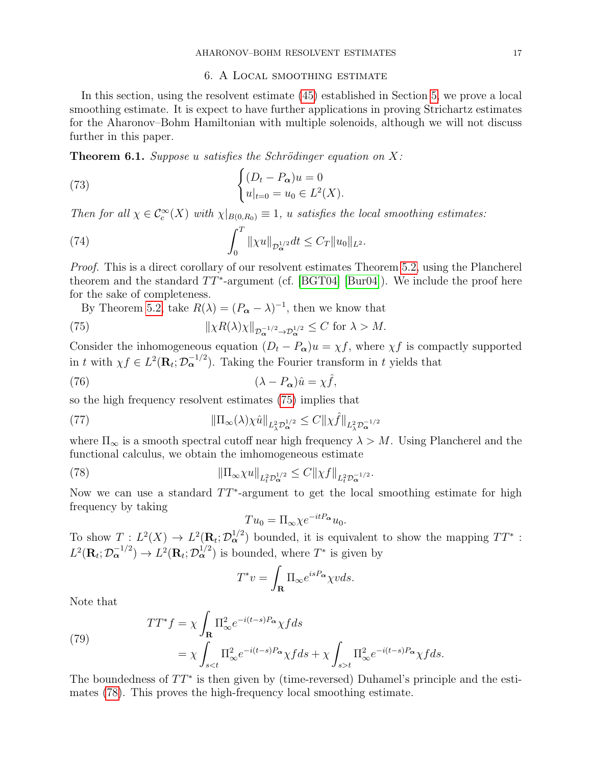## 6. A Local smoothing estimate

<span id="page-16-0"></span>In this section, using the resolvent estimate [\(45\)](#page-11-3) established in Section [5,](#page-11-0) we prove a local smoothing estimate. It is expect to have further applications in proving Strichartz estimates for the Aharonov–Bohm Hamiltonian with multiple solenoids, although we will not discuss further in this paper.

**Theorem 6.1.** Suppose u satisfies the Schrödinger equation on X:

(73) 
$$
\begin{cases} (D_t - P_{\alpha})u = 0 \\ u|_{t=0} = u_0 \in L^2(X). \end{cases}
$$

Then for all  $\chi \in C_c^{\infty}(X)$  with  $\chi|_{B(0,R_0)} \equiv 1$ , u satisfies the local smoothing estimates:

<span id="page-16-3"></span>(74) 
$$
\int_0^T \| \chi u \|_{\mathcal{D}_{\boldsymbol{\alpha}}^{1/2}} dt \leq C_T \| u_0 \|_{L^2}.
$$

Proof. This is a direct corollary of our resolvent estimates Theorem [5.2,](#page-11-1) using the Plancherel theorem and the standard  $TT^*$ -argument (cf. [\[BGT04\]](#page-19-9) [\[Bur04\]](#page-19-23)). We include the proof here for the sake of completeness.

<span id="page-16-1"></span>By Theorem [5.2,](#page-11-1) take  $R(\lambda) = (P_{\alpha} - \lambda)^{-1}$ , then we know that

(75) 
$$
\|\chi R(\lambda)\chi\|_{\mathcal{D}_{\alpha}^{-1/2}\to\mathcal{D}_{\alpha}^{1/2}}\leq C \text{ for }\lambda>M.
$$

Consider the inhomogeneous equation  $(D_t - P_{\alpha})u = \chi f$ , where  $\chi f$  is compactly supported in t with  $\chi f \in L^2(\mathbf{R}_t; \mathcal{D}_\alpha^{-1/2})$ . Taking the Fourier transform in t yields that

(76) 
$$
(\lambda - P_{\alpha})\hat{u} = \chi \hat{f},
$$

so the high frequency resolvent estimates [\(75\)](#page-16-1) implies that

(77) 
$$
\|\Pi_{\infty}(\lambda)\chi\hat{u}\|_{L_{\lambda}^2\mathcal{D}_{\alpha}^{1/2}} \leq C\|\chi\hat{f}\|_{L_{\lambda}^2\mathcal{D}_{\alpha}^{-1/2}}
$$

where  $\Pi_{\infty}$  is a smooth spectral cutoff near high frequency  $\lambda > M$ . Using Plancherel and the functional calculus, we obtain the imhomogeneous estimate

(78) 
$$
\|\Pi_{\infty} \chi u\|_{L^2_t \mathcal{D}_{\alpha}^{1/2}} \leq C \|\chi f\|_{L^2_t \mathcal{D}_{\alpha}^{-1/2}}.
$$

Now we can use a standard  $TT^*$ -argument to get the local smoothing estimate for high frequency by taking

<span id="page-16-2"></span>
$$
Tu_0 = \Pi_{\infty} \chi e^{-itP_{\alpha}} u_0.
$$

To show  $T: L^2(X) \to L^2(\mathbf{R}_t; \mathcal{D}_{\alpha}^{1/2})$  bounded, it is equivalent to show the mapping  $TT^*$ :  $L^2(\mathbf{R}_t; \mathcal{D}_{\alpha}^{-1/2}) \to L^2(\mathbf{R}_t; \mathcal{D}_{\alpha}^{1/2})$  is bounded, where  $T^*$  is given by

$$
T^*v = \int_{\mathbf{R}} \Pi_{\infty} e^{isP_{\alpha}} \chi v ds.
$$

Note that

(79)  
\n
$$
TT^*f = \chi \int_{\mathbf{R}} \Pi_{\infty}^2 e^{-i(t-s)P_{\alpha}} \chi f ds
$$
\n
$$
= \chi \int_{st} \Pi_{\infty}^2 e^{-i(t-s)P_{\alpha}} \chi f ds.
$$

The boundedness of  $TT^*$  is then given by (time-reversed) Duhamel's principle and the estimates [\(78\)](#page-16-2). This proves the high-frequency local smoothing estimate.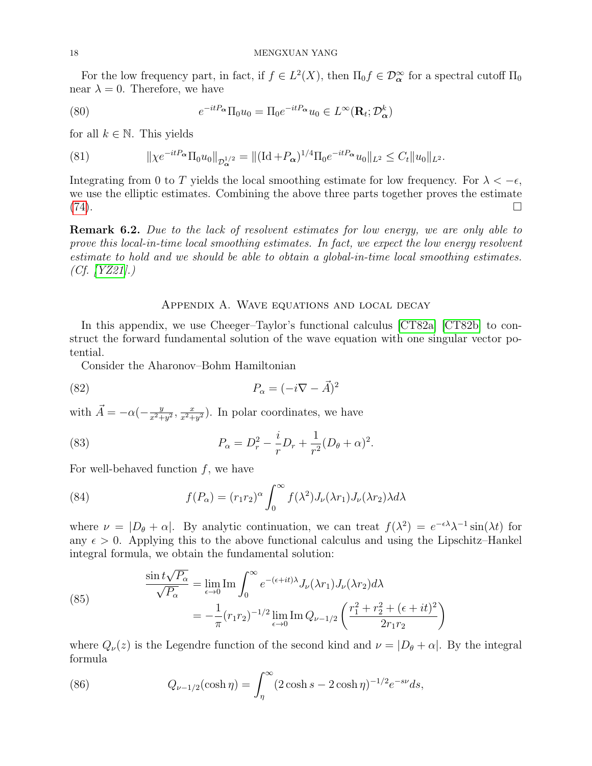For the low frequency part, in fact, if  $f \in L^2(X)$ , then  $\Pi_0 f \in \mathcal{D}_{\alpha}^{\infty}$  for a spectral cutoff  $\Pi_0$ near  $\lambda = 0$ . Therefore, we have

(80) 
$$
e^{-itP_{\alpha}}\Pi_0 u_0 = \Pi_0 e^{-itP_{\alpha}} u_0 \in L^{\infty}(\mathbf{R}_t; \mathcal{D}_{\alpha}^k)
$$

for all  $k \in \mathbb{N}$ . This yields

(81) 
$$
\|\chi e^{-itP_{\alpha}}\Pi_0 u_0\|_{\mathcal{D}_{\alpha}^{1/2}} = \|(Id + P_{\alpha})^{1/4}\Pi_0 e^{-itP_{\alpha}}u_0\|_{L^2} \leq C_t \|u_0\|_{L^2}.
$$

Integrating from 0 to T yields the local smoothing estimate for low frequency. For  $\lambda < -\epsilon$ , we use the elliptic estimates. Combining the above three parts together proves the estimate [\(74\)](#page-16-3).

**Remark 6.2.** Due to the lack of resolvent estimates for low energy, we are only able to prove this local-in-time local smoothing estimates. In fact, we expect the low energy resolvent estimate to hold and we should be able to obtain a global-in-time local smoothing estimates. (Cf. [\[YZ21\]](#page-20-7).)

## Appendix A. Wave equations and local decay

<span id="page-17-0"></span>In this appendix, we use Cheeger–Taylor's functional calculus [\[CT82a\]](#page-19-24) [\[CT82b\]](#page-19-25) to construct the forward fundamental solution of the wave equation with one singular vector potential.

Consider the Aharonov–Bohm Hamiltonian

(82) 
$$
P_{\alpha} = (-i\nabla - \vec{A})^2
$$

with  $\vec{A} = -\alpha \left(-\frac{y}{x^2 + 1}\right)$  $\frac{y}{x^2+y^2}, \frac{x}{x^2+y^2}$  $\frac{x}{x^2+y^2}$ ). In polar coordinates, we have

(83) 
$$
P_{\alpha} = D_r^2 - \frac{i}{r} D_r + \frac{1}{r^2} (D_\theta + \alpha)^2.
$$

For well-behaved function  $f$ , we have

(84) 
$$
f(P_{\alpha}) = (r_1 r_2)^{\alpha} \int_0^{\infty} f(\lambda^2) J_{\nu}(\lambda r_1) J_{\nu}(\lambda r_2) \lambda d\lambda
$$

where  $\nu = |D_\theta + \alpha|$ . By analytic continuation, we can treat  $f(\lambda^2) = e^{-\epsilon \lambda} \lambda^{-1} \sin(\lambda t)$  for any  $\epsilon > 0$ . Applying this to the above functional calculus and using the Lipschitz–Hankel integral formula, we obtain the fundamental solution:

(85) 
$$
\frac{\sin t\sqrt{P_{\alpha}}}{\sqrt{P_{\alpha}}} = \lim_{\epsilon \to 0} \text{Im} \int_0^{\infty} e^{-(\epsilon + it)\lambda} J_{\nu}(\lambda r_1) J_{\nu}(\lambda r_2) d\lambda \n= -\frac{1}{\pi} (r_1 r_2)^{-1/2} \lim_{\epsilon \to 0} \text{Im} Q_{\nu - 1/2} \left( \frac{r_1^2 + r_2^2 + (\epsilon + it)^2}{2r_1 r_2} \right)
$$

where  $Q_{\nu}(z)$  is the Legendre function of the second kind and  $\nu = |D_{\theta} + \alpha|$ . By the integral formula

(86) 
$$
Q_{\nu-1/2}(\cosh \eta) = \int_{\eta}^{\infty} (2\cosh s - 2\cosh \eta)^{-1/2} e^{-s\nu} ds,
$$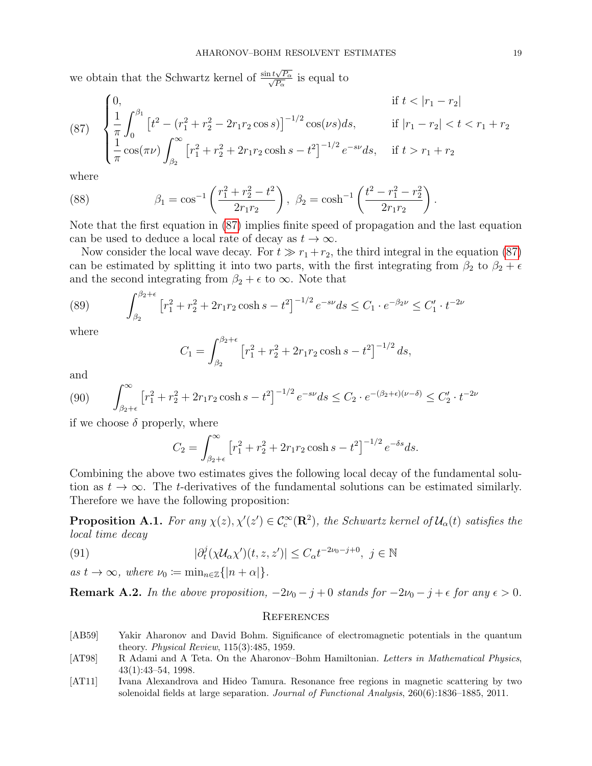we obtain that the Schwartz kernel of  $\frac{\sin t \sqrt{D}}{\sqrt{D}}$  $\frac{1}{2}t\sqrt{P_{\alpha}}$  $\frac{\sqrt{P_{\alpha}}}{P_{\alpha}}$  is equal to

<span id="page-18-3"></span>(87) 
$$
\begin{cases} 0, & \text{if } t < |r_1 - r_2| \\ \frac{1}{\pi} \int_0^{\beta_1} \left[ t^2 - (r_1^2 + r_2^2 - 2r_1r_2\cos s) \right]^{-1/2} \cos(\nu s) ds, & \text{if } |r_1 - r_2| < t < r_1 + r_2 \\ \frac{1}{\pi} \cos(\pi \nu) \int_{\beta_2}^{\infty} \left[ r_1^2 + r_2^2 + 2r_1r_2\cosh s - t^2 \right]^{-1/2} e^{-s\nu} ds, & \text{if } t > r_1 + r_2 \end{cases}
$$

where

(88) 
$$
\beta_1 = \cos^{-1}\left(\frac{r_1^2 + r_2^2 - t^2}{2r_1r_2}\right), \ \beta_2 = \cosh^{-1}\left(\frac{t^2 - r_1^2 - r_2^2}{2r_1r_2}\right).
$$

Note that the first equation in [\(87\)](#page-18-3) implies finite speed of propagation and the last equation can be used to deduce a local rate of decay as  $t \to \infty$ .

Now consider the local wave decay. For  $t \gg r_1 + r_2$ , the third integral in the equation [\(87\)](#page-18-3) can be estimated by splitting it into two parts, with the first integrating from  $\beta_2$  to  $\beta_2 + \epsilon$ and the second integrating from  $\beta_2 + \epsilon$  to  $\infty$ . Note that

(89) 
$$
\int_{\beta_2}^{\beta_2+\epsilon} \left[ r_1^2 + r_2^2 + 2r_1r_2 \cosh s - t^2 \right]^{-1/2} e^{-s\nu} ds \le C_1 \cdot e^{-\beta_2 \nu} \le C_1' \cdot t^{-2\nu}
$$

where

$$
C_1 = \int_{\beta_2}^{\beta_2 + \epsilon} \left[ r_1^2 + r_2^2 + 2r_1r_2 \cosh s - t^2 \right]^{-1/2} ds,
$$

and

$$
(90) \qquad \int_{\beta_2+\epsilon}^{\infty} \left[ r_1^2 + r_2^2 + 2r_1r_2 \cosh s - t^2 \right]^{-1/2} e^{-s\nu} ds \le C_2 \cdot e^{-(\beta_2+\epsilon)(\nu-\delta)} \le C_2' \cdot t^{-2\nu}
$$

if we choose  $\delta$  properly, where

$$
C_2 = \int_{\beta_2 + \epsilon}^{\infty} \left[ r_1^2 + r_2^2 + 2r_1r_2 \cosh s - t^2 \right]^{-1/2} e^{-\delta s} ds.
$$

Combining the above two estimates gives the following local decay of the fundamental solution as  $t \to \infty$ . The t-derivatives of the fundamental solutions can be estimated similarly. Therefore we have the following proposition:

**Proposition A.1.** For any  $\chi(z), \chi'(z') \in C_c^{\infty}(\mathbb{R}^2)$ , the Schwartz kernel of  $\mathcal{U}_{\alpha}(t)$  satisfies the local time decay

(91) 
$$
|\partial_t^j(\chi \mathcal{U}_\alpha \chi')(t, z, z')| \leq C_\alpha t^{-2\nu_0 - j + 0}, \ j \in \mathbb{N}
$$

as  $t \to \infty$ , where  $\nu_0 := \min_{n \in \mathbb{Z}} \{|n + \alpha|\}.$ 

**Remark A.2.** In the above proposition,  $-2\nu_0 - j + 0$  stands for  $-2\nu_0 - j + \epsilon$  for any  $\epsilon > 0$ .

## **REFERENCES**

- <span id="page-18-1"></span>[AB59] Yakir Aharonov and David Bohm. Significance of electromagnetic potentials in the quantum theory. Physical Review, 115(3):485, 1959.
- <span id="page-18-2"></span>[AT98] R Adami and A Teta. On the Aharonov–Bohm Hamiltonian. Letters in Mathematical Physics, 43(1):43–54, 1998.
- <span id="page-18-0"></span>[AT11] Ivana Alexandrova and Hideo Tamura. Resonance free regions in magnetic scattering by two solenoidal fields at large separation. Journal of Functional Analysis, 260(6):1836–1885, 2011.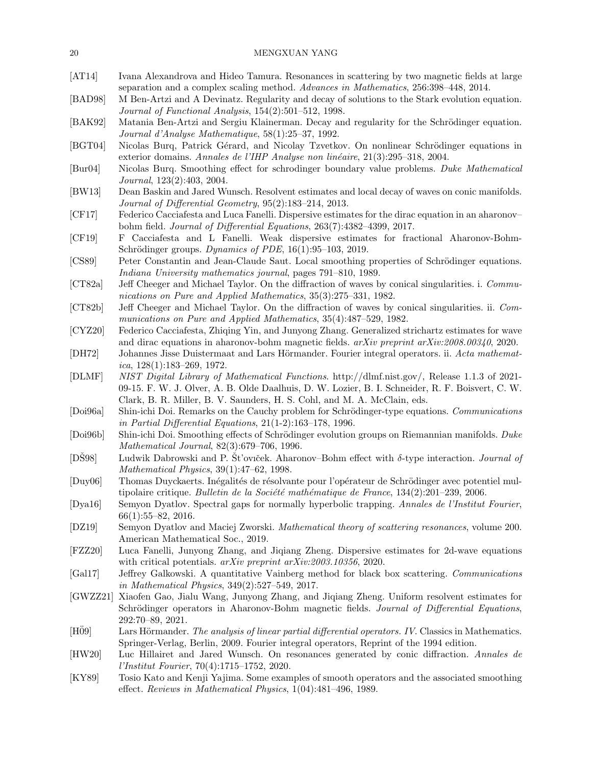<span id="page-19-25"></span><span id="page-19-24"></span><span id="page-19-23"></span><span id="page-19-22"></span><span id="page-19-21"></span><span id="page-19-20"></span><span id="page-19-19"></span><span id="page-19-18"></span><span id="page-19-17"></span><span id="page-19-16"></span><span id="page-19-15"></span><span id="page-19-14"></span><span id="page-19-13"></span><span id="page-19-12"></span><span id="page-19-11"></span><span id="page-19-10"></span><span id="page-19-9"></span><span id="page-19-8"></span><span id="page-19-7"></span><span id="page-19-6"></span><span id="page-19-5"></span><span id="page-19-4"></span><span id="page-19-3"></span><span id="page-19-2"></span><span id="page-19-1"></span><span id="page-19-0"></span>

| [AT14]                      | Ivana Alexandrova and Hideo Tamura. Resonances in scattering by two magnetic fields at large<br>separation and a complex scaling method. Advances in Mathematics, 256:398-448, 2014.                                                                                          |
|-----------------------------|-------------------------------------------------------------------------------------------------------------------------------------------------------------------------------------------------------------------------------------------------------------------------------|
| [BAD98]                     | M Ben-Artzi and A Devinatz. Regularity and decay of solutions to the Stark evolution equation.<br>Journal of Functional Analysis, 154(2):501-512, 1998.                                                                                                                       |
| [BAK92]                     | Matania Ben-Artzi and Sergiu Klainerman. Decay and regularity for the Schrödinger equation.<br>Journal d'Analyse Mathematique, 58(1):25-37, 1992.                                                                                                                             |
| [BGT04]                     | Nicolas Burq, Patrick Gérard, and Nicolay Tzvetkov. On nonlinear Schrödinger equations in<br>exterior domains. Annales de l'IHP Analyse non linéaire, 21(3):295–318, 2004.                                                                                                    |
| $\left[\text{Bur04}\right]$ | Nicolas Burq. Smoothing effect for schrodinger boundary value problems. Duke Mathematical<br>Journal, 123(2):403, 2004.                                                                                                                                                       |
| [BW13]                      | Dean Baskin and Jared Wunsch. Resolvent estimates and local decay of waves on conic manifolds.<br>Journal of Differential Geometry, 95(2):183-214, 2013.                                                                                                                      |
| [CF17]                      | Federico Cacciafesta and Luca Fanelli. Dispersive estimates for the dirac equation in an aharonov-<br>bohm field. Journal of Differential Equations, 263(7):4382-4399, 2017.                                                                                                  |
| [CF19]                      | F Cacciafesta and L Fanelli. Weak dispersive estimates for fractional Aharonov-Bohm-<br>Schrödinger groups. Dynamics of PDE, 16(1):95-103, 2019.                                                                                                                              |
| [CS89]                      | Peter Constantin and Jean-Claude Saut. Local smoothing properties of Schrödinger equations.<br>Indiana University mathematics journal, pages 791-810, 1989.                                                                                                                   |
| [CT82a]                     | Jeff Cheeger and Michael Taylor. On the diffraction of waves by conical singularities. i. Commu-<br>nications on Pure and Applied Mathematics, 35(3):275-331, 1982.                                                                                                           |
| [CT82b]                     | Jeff Cheeger and Michael Taylor. On the diffraction of waves by conical singularities. ii. Com-<br>munications on Pure and Applied Mathematics, 35(4):487-529, 1982.                                                                                                          |
| [CYZ20]                     | Federico Cacciafesta, Zhiqing Yin, and Junyong Zhang. Generalized strichartz estimates for wave<br>and dirac equations in a haronov-bohm magnetic fields. $arXiv$ preprint $arXiv:2008.00340$ , 2020.                                                                         |
| [DH72]                      | Johannes Jisse Duistermaat and Lars Hörmander. Fourier integral operators. ii. Acta mathemat-<br><i>ica</i> , $128(1):183-269$ , $1972$ .                                                                                                                                     |
| [DLMF]                      | NIST Digital Library of Mathematical Functions. http://dlmf.nist.gov/, Release 1.1.3 of 2021-<br>09-15. F. W. J. Olver, A. B. Olde Daalhuis, D. W. Lozier, B. I. Schneider, R. F. Boisvert, C. W.<br>Clark, B. R. Miller, B. V. Saunders, H. S. Cohl, and M. A. McClain, eds. |
| [Doi96a]                    | Shin-ichi Doi. Remarks on the Cauchy problem for Schrödinger-type equations. Communications<br>in Partial Differential Equations, $21(1-2):163-178$ , 1996.                                                                                                                   |
| [Doi96b]                    | Shin-ichi Doi. Smoothing effects of Schrödinger evolution groups on Riemannian manifolds. Duke<br>Mathematical Journal, 82(3):679-706, 1996.                                                                                                                                  |
| $[D\check{S}98]$            | Ludwik Dabrowski and P. St'oviček. Aharonov–Bohm effect with $\delta$ -type interaction. Journal of<br>Mathematical Physics, 39(1):47-62, 1998.                                                                                                                               |
| $\left[\text{Duy06}\right]$ | Thomas Duyckaerts. Inégalités de résolvante pour l'opérateur de Schrödinger avec potentiel mul-<br>tipolaire critique. Bulletin de la Société mathématique de France, $134(2):201-239$ , 2006.                                                                                |
| [Dya16]                     | Semyon Dyatlov. Spectral gaps for normally hyperbolic trapping. Annales de l'Institut Fourier,<br>$66(1):55-82, 2016.$                                                                                                                                                        |
| [DZ19]                      | Semyon Dyatlov and Maciej Zworski. Mathematical theory of scattering resonances, volume 200.<br>American Mathematical Soc., 2019.                                                                                                                                             |
| $[{\rm FZZ20}]$             | Luca Fanelli, Junyong Zhang, and Jiqiang Zheng. Dispersive estimates for 2d-wave equations<br>with critical potentials. arXiv preprint arXiv:2003.10356, 2020.                                                                                                                |
| [Gal17]                     | Jeffrey Galkowski. A quantitative Vainberg method for black box scattering. Communications<br>in Mathematical Physics, $349(2):527-549$ , $2017$ .                                                                                                                            |
| [GWZZ21]                    | Xiaofen Gao, Jialu Wang, Junyong Zhang, and Jiqiang Zheng. Uniform resolvent estimates for<br>Schrödinger operators in Aharonov-Bohm magnetic fields. Journal of Differential Equations,<br>292:70-89, 2021.                                                                  |
| $[H\ddot{0}9]$              | Lars Hörmander. The analysis of linear partial differential operators. IV. Classics in Mathematics.<br>Springer-Verlag, Berlin, 2009. Fourier integral operators, Reprint of the 1994 edition.                                                                                |
| [HW20]                      | Luc Hillairet and Jared Wunsch. On resonances generated by conic diffraction. Annales de<br><i>l'Institut Fourier</i> , $70(4):1715-1752$ , 2020.                                                                                                                             |
| [KY89]                      | Tosio Kato and Kenji Yajima. Some examples of smooth operators and the associated smoothing<br>effect. Reviews in Mathematical Physics, 1(04):481-496, 1989.                                                                                                                  |
|                             |                                                                                                                                                                                                                                                                               |
|                             |                                                                                                                                                                                                                                                                               |

# 20 MENGXUAN YANG